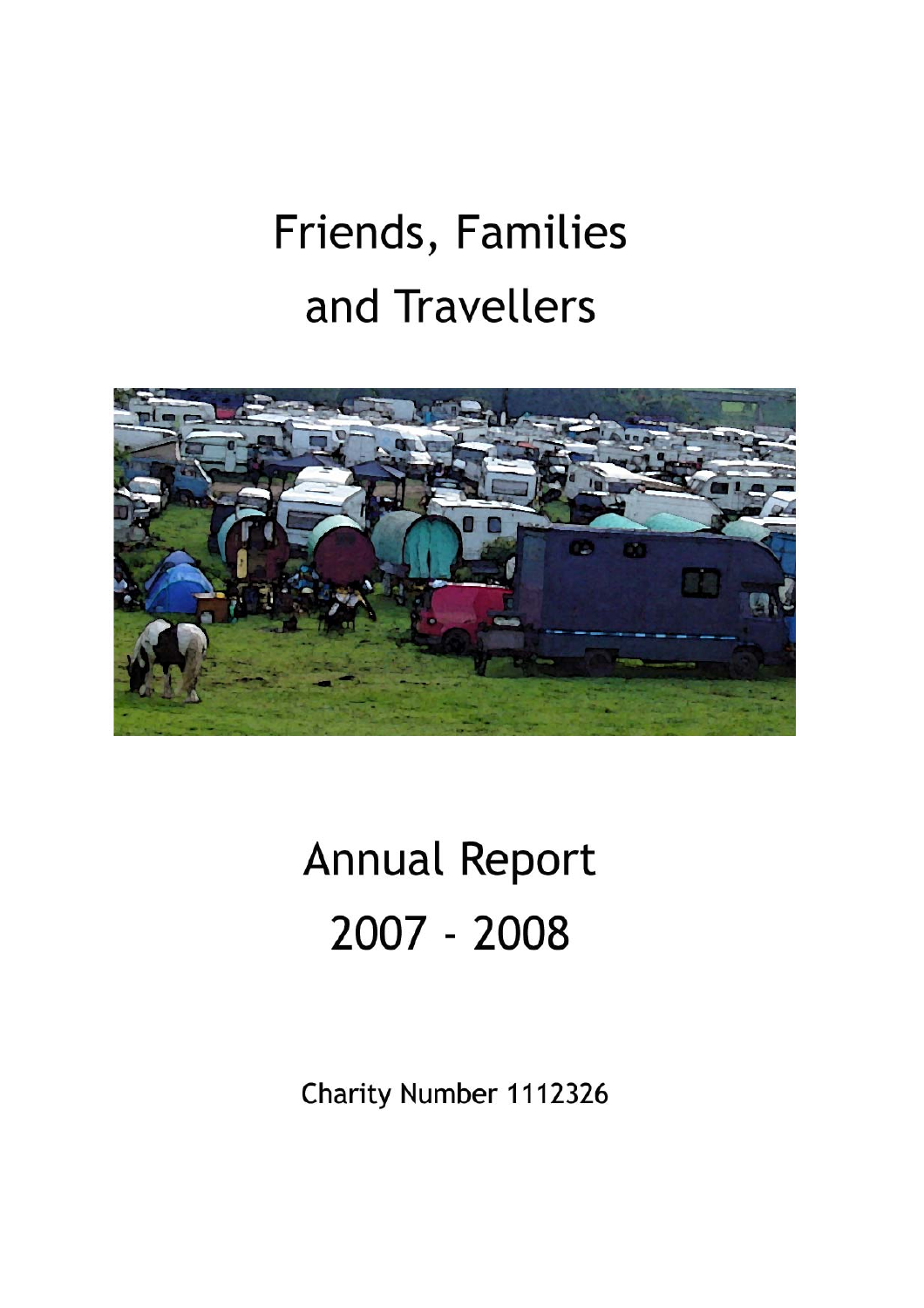# Friends, Families and Travellers



# **Annual Report** 2007 - 2008

Charity Number 1112326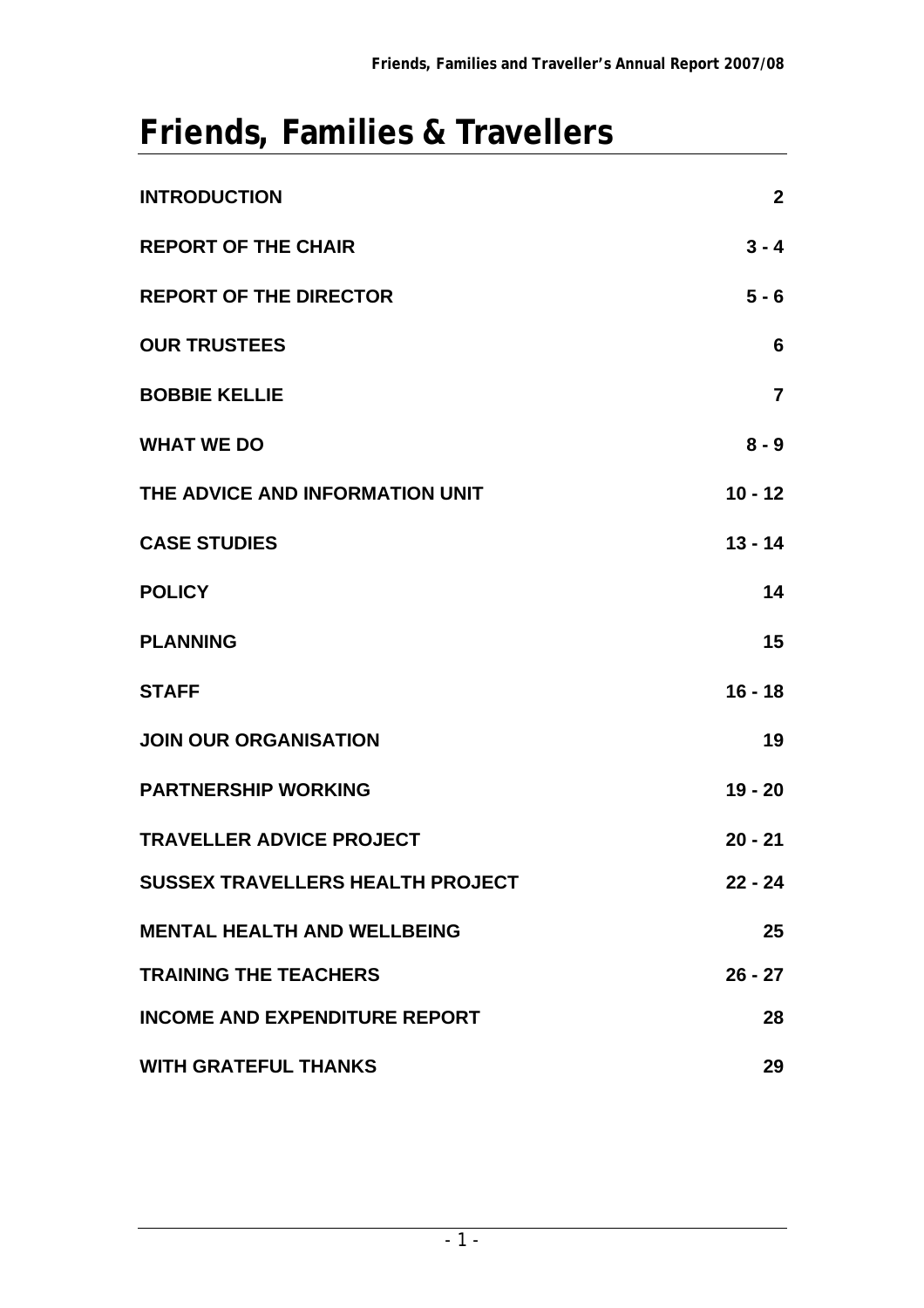# **Friends, Families & Travellers**

| <b>INTRODUCTION</b>                     | $\mathbf{2}$   |
|-----------------------------------------|----------------|
| <b>REPORT OF THE CHAIR</b>              | $3 - 4$        |
| <b>REPORT OF THE DIRECTOR</b>           | $5 - 6$        |
| <b>OUR TRUSTEES</b>                     | 6              |
| <b>BOBBIE KELLIE</b>                    | $\overline{7}$ |
| <b>WHAT WE DO</b>                       | $8 - 9$        |
| THE ADVICE AND INFORMATION UNIT         | $10 - 12$      |
| <b>CASE STUDIES</b>                     | $13 - 14$      |
| <b>POLICY</b>                           | 14             |
| <b>PLANNING</b>                         | 15             |
| <b>STAFF</b>                            | $16 - 18$      |
| <b>JOIN OUR ORGANISATION</b>            | 19             |
| <b>PARTNERSHIP WORKING</b>              | $19 - 20$      |
| <b>TRAVELLER ADVICE PROJECT</b>         | $20 - 21$      |
| <b>SUSSEX TRAVELLERS HEALTH PROJECT</b> | $22 - 24$      |
| <b>MENTAL HEALTH AND WELLBEING</b>      | 25             |
| <b>TRAINING THE TEACHERS</b>            | $26 - 27$      |
| <b>INCOME AND EXPENDITURE REPORT</b>    | 28             |
| <b>WITH GRATEFUL THANKS</b>             | 29             |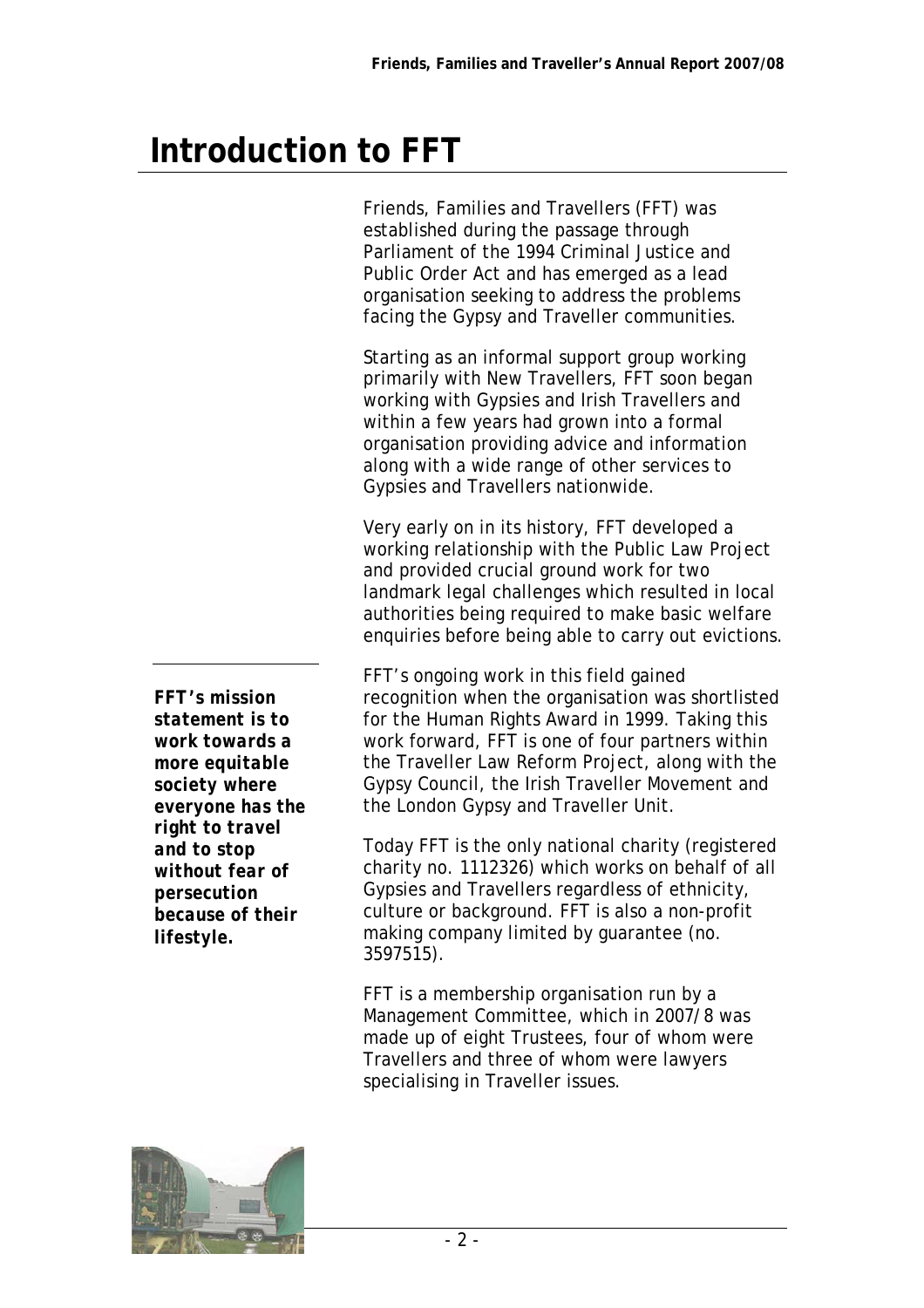# **Introduction to FFT**

Friends, Families and Travellers (FFT) was established during the passage through Parliament of the 1994 Criminal Justice and Public Order Act and has emerged as a lead organisation seeking to address the problems facing the Gypsy and Traveller communities.

Starting as an informal support group working primarily with New Travellers, FFT soon began working with Gypsies and Irish Travellers and within a few years had grown into a formal organisation providing advice and information along with a wide range of other services to Gypsies and Travellers nationwide.

Very early on in its history, FFT developed a working relationship with the Public Law Project and provided crucial ground work for two landmark legal challenges which resulted in local authorities being required to make basic welfare enquiries before being able to carry out evictions.

FFT's ongoing work in this field gained recognition when the organisation was shortlisted for the Human Rights Award in 1999. Taking this work forward, FFT is one of four partners within the Traveller Law Reform Project, along with the Gypsy Council, the Irish Traveller Movement and the London Gypsy and Traveller Unit.

Today FFT is the only national charity (registered charity no. 1112326) which works on behalf of all Gypsies and Travellers regardless of ethnicity, culture or background. FFT is also a non-profit making company limited by guarantee (no. 3597515).

FFT is a membership organisation run by a Management Committee, which in 2007/8 was made up of eight Trustees, four of whom were Travellers and three of whom were lawyers specialising in Traveller issues.



*FFT's mission statement is to work towards a more equitable society where everyone has the right to travel and to stop without fear of persecution because of their lifestyle.*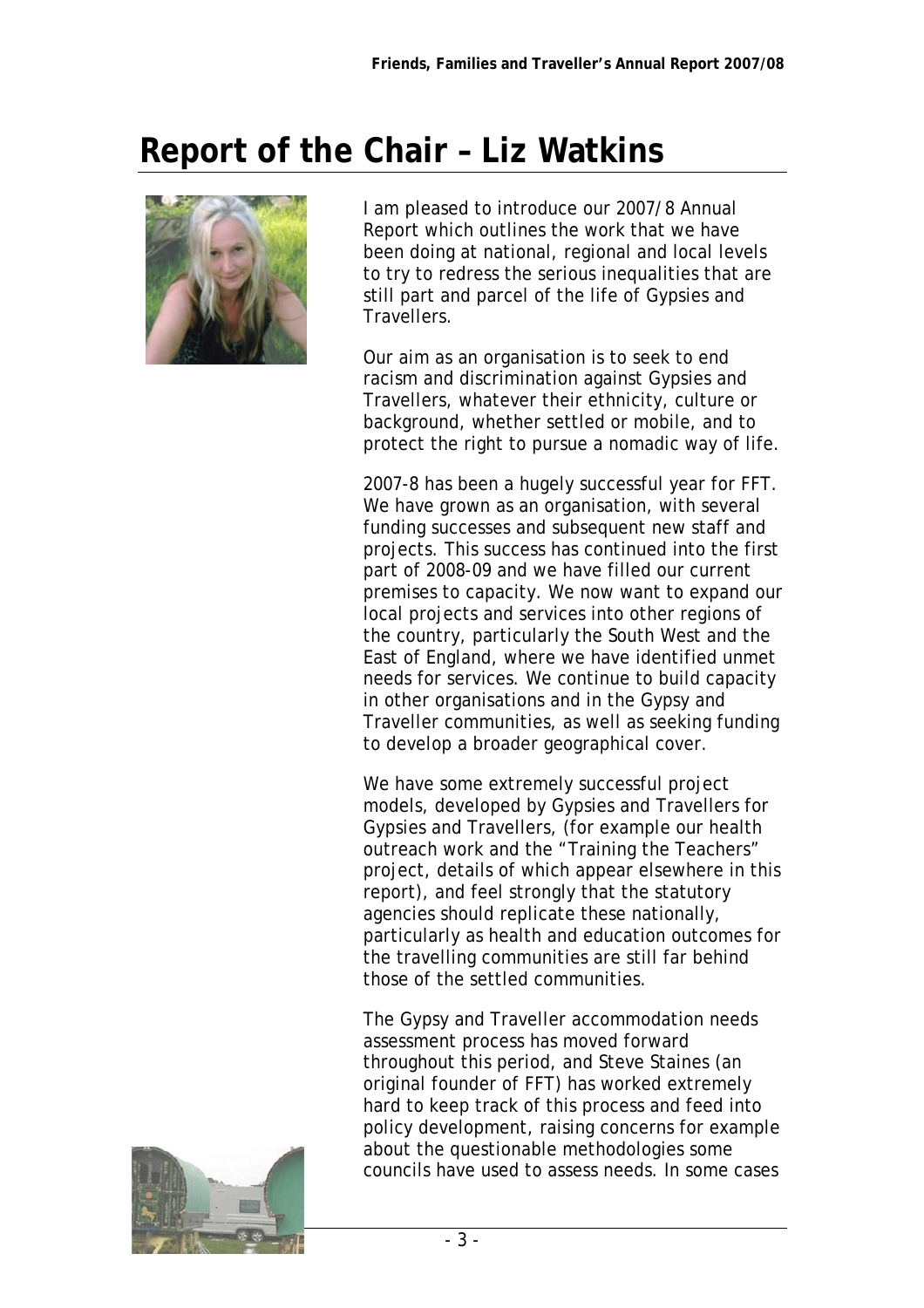# **Report of the Chair – Liz Watkins**



I am pleased to introduce our 2007/8 Annual Report which outlines the work that we have been doing at national, regional and local levels to try to redress the serious inequalities that are still part and parcel of the life of Gypsies and Travellers.

Our aim as an organisation is to seek to end racism and discrimination against Gypsies and Travellers, whatever their ethnicity, culture or background, whether settled or mobile, and to protect the right to pursue a nomadic way of life.

2007-8 has been a hugely successful year for FFT. We have grown as an organisation, with several funding successes and subsequent new staff and projects. This success has continued into the first part of 2008-09 and we have filled our current premises to capacity. We now want to expand our local projects and services into other regions of the country, particularly the South West and the East of England, where we have identified unmet needs for services. We continue to build capacity in other organisations and in the Gypsy and Traveller communities, as well as seeking funding to develop a broader geographical cover.

We have some extremely successful project models, developed by Gypsies and Travellers for Gypsies and Travellers, (for example our health outreach work and the "Training the Teachers" project, details of which appear elsewhere in this report), and feel strongly that the statutory agencies should replicate these nationally, particularly as health and education outcomes for the travelling communities are still far behind those of the settled communities.

The Gypsy and Traveller accommodation needs assessment process has moved forward throughout this period, and Steve Staines (an original founder of FFT) has worked extremely hard to keep track of this process and feed into policy development, raising concerns for example about the questionable methodologies some councils have used to assess needs. In some cases

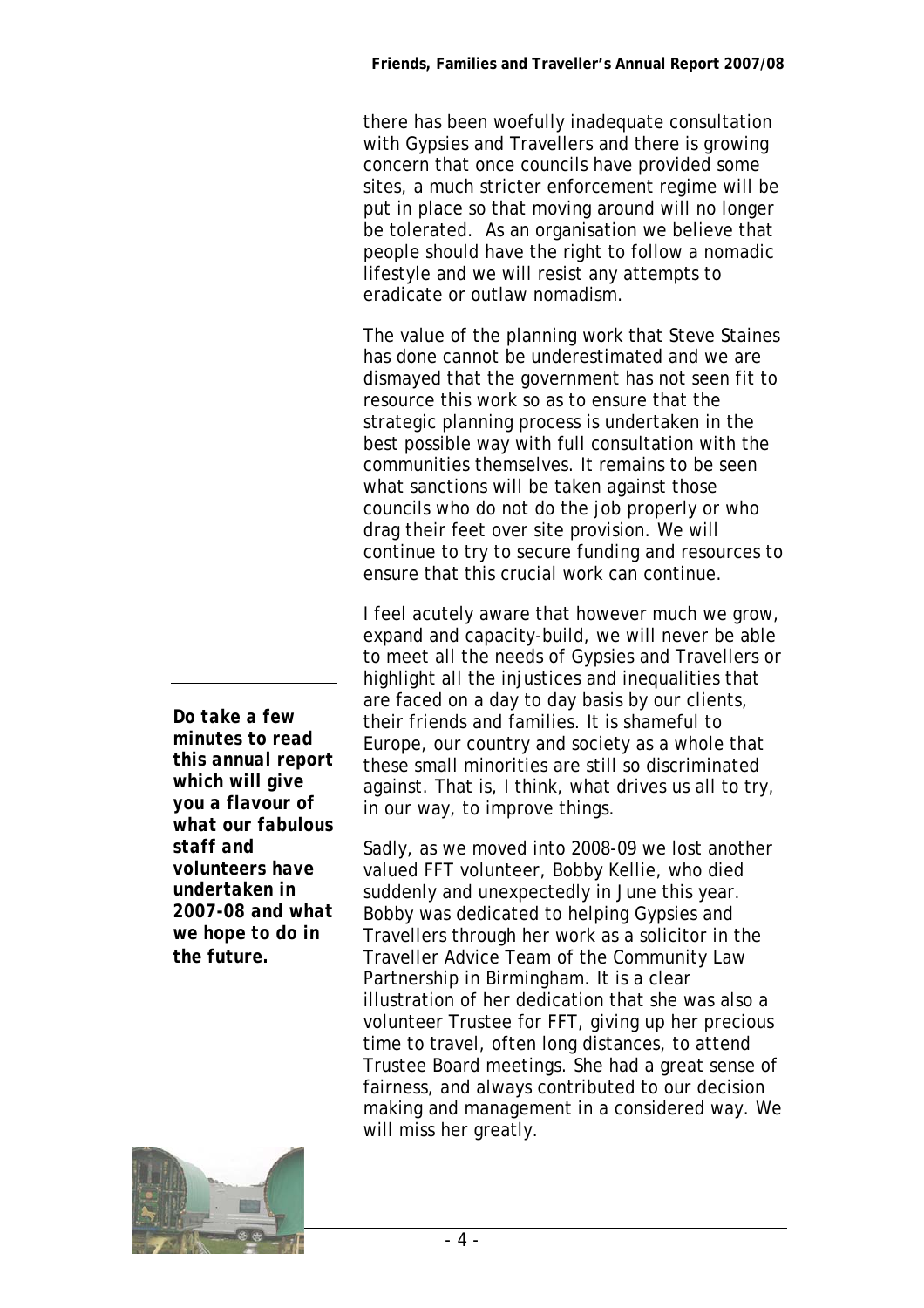there has been woefully inadequate consultation with Gypsies and Travellers and there is growing concern that once councils have provided some sites, a much stricter enforcement regime will be put in place so that moving around will no longer be tolerated. As an organisation we believe that people should have the right to follow a nomadic lifestyle and we will resist any attempts to eradicate or outlaw nomadism.

The value of the planning work that Steve Staines has done cannot be underestimated and we are dismayed that the government has not seen fit to resource this work so as to ensure that the strategic planning process is undertaken in the best possible way with full consultation with the communities themselves. It remains to be seen what sanctions will be taken against those councils who do not do the job properly or who drag their feet over site provision. We will continue to try to secure funding and resources to ensure that this crucial work can continue.

I feel acutely aware that however much we grow, expand and capacity-build, we will never be able to meet all the needs of Gypsies and Travellers or highlight all the injustices and inequalities that are faced on a day to day basis by our clients, their friends and families. It is shameful to Europe, our country and society as a whole that these small minorities are still so discriminated against. That is, I think, what drives us all to try, in our way, to improve things.

Sadly, as we moved into 2008-09 we lost another valued FFT volunteer, Bobby Kellie, who died suddenly and unexpectedly in June this year. Bobby was dedicated to helping Gypsies and Travellers through her work as a solicitor in the Traveller Advice Team of the Community Law Partnership in Birmingham. It is a clear illustration of her dedication that she was also a volunteer Trustee for FFT, giving up her precious time to travel, often long distances, to attend Trustee Board meetings. She had a great sense of fairness, and always contributed to our decision making and management in a considered way. We will miss her greatly.



*minutes to read this annual report which will give you a flavour of what our fabulous staff and volunteers have undertaken in 2007-08 and what we hope to do in the future.* 

*Do take a few*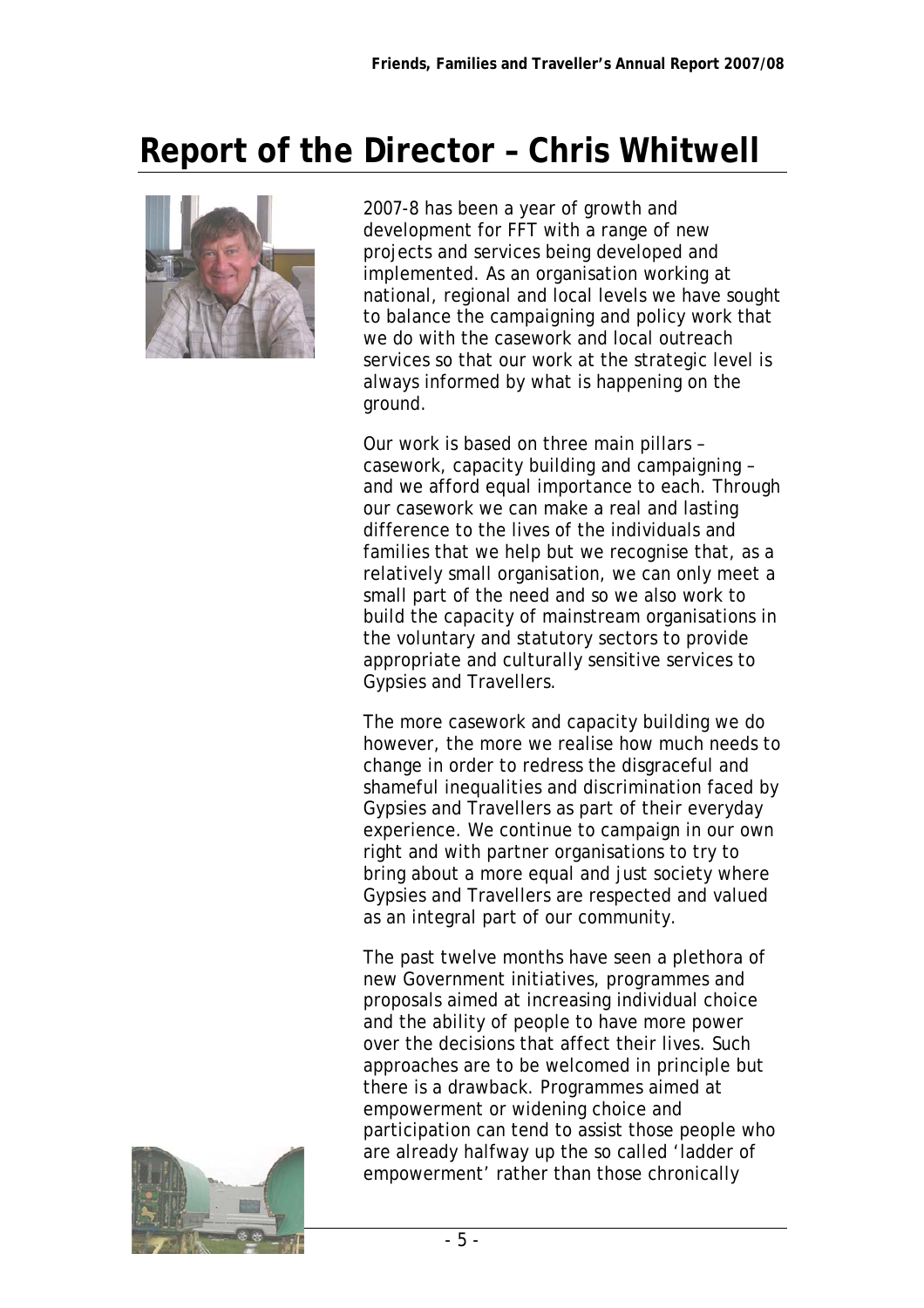# **Report of the Director – Chris Whitwell**



2007-8 has been a year of growth and development for FFT with a range of new projects and services being developed and implemented. As an organisation working at national, regional and local levels we have sought to balance the campaigning and policy work that we do with the casework and local outreach services so that our work at the strategic level is always informed by what is happening on the ground.

Our work is based on three main pillars – casework, capacity building and campaigning – and we afford equal importance to each. Through our casework we can make a real and lasting difference to the lives of the individuals and families that we help but we recognise that, as a relatively small organisation, we can only meet a small part of the need and so we also work to build the capacity of mainstream organisations in the voluntary and statutory sectors to provide appropriate and culturally sensitive services to Gypsies and Travellers.

The more casework and capacity building we do however, the more we realise how much needs to change in order to redress the disgraceful and shameful inequalities and discrimination faced by Gypsies and Travellers as part of their everyday experience. We continue to campaign in our own right and with partner organisations to try to bring about a more equal and just society where Gypsies and Travellers are respected and valued as an integral part of our community.

The past twelve months have seen a plethora of new Government initiatives, programmes and proposals aimed at increasing individual choice and the ability of people to have more power over the decisions that affect their lives. Such approaches are to be welcomed in principle but there is a drawback. Programmes aimed at empowerment or widening choice and participation can tend to assist those people who are already halfway up the so called 'ladder of empowerment' rather than those chronically

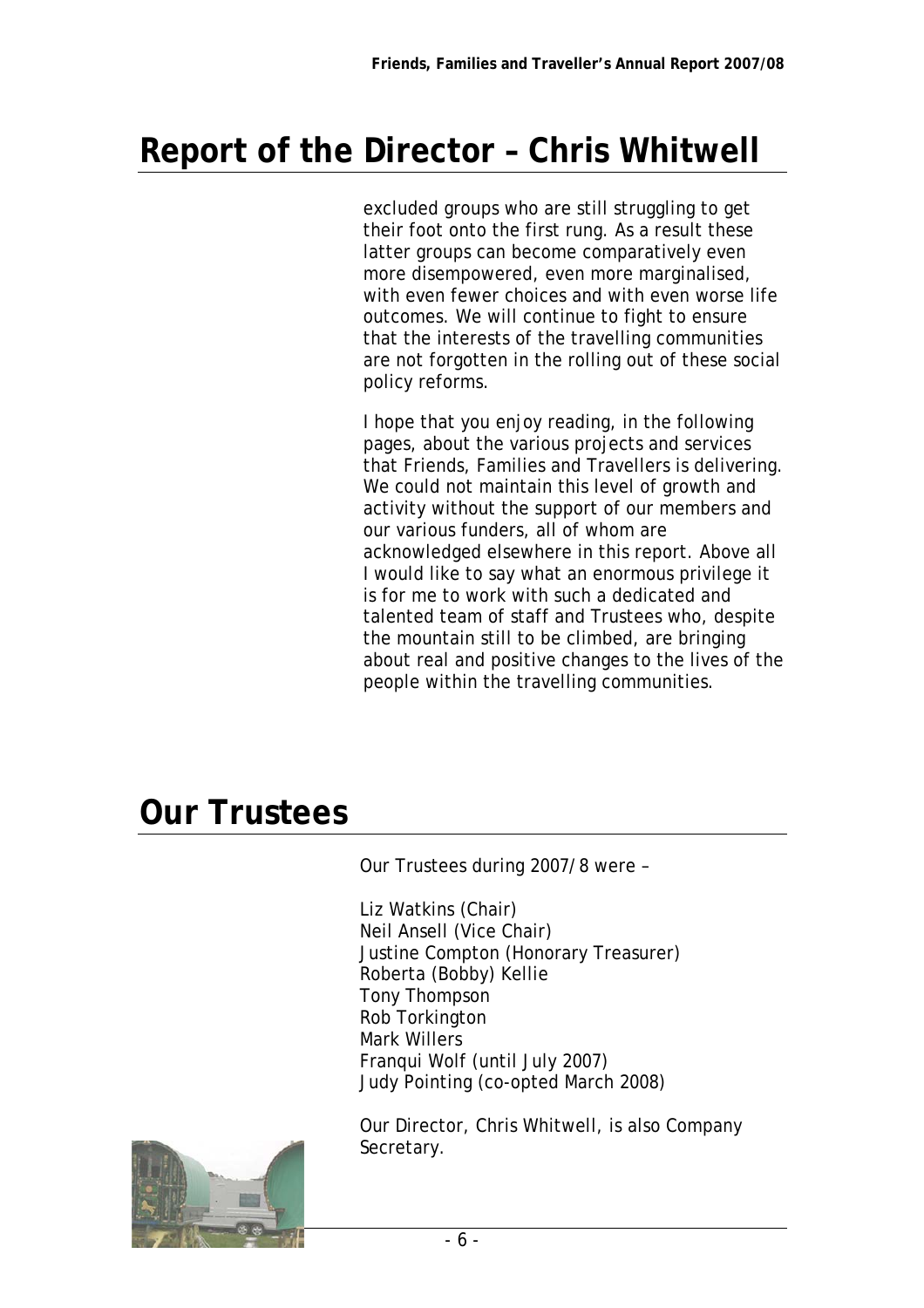# **Report of the Director – Chris Whitwell**

excluded groups who are still struggling to get their foot onto the first rung. As a result these latter groups can become comparatively even more disempowered, even more marginalised, with even fewer choices and with even worse life outcomes. We will continue to fight to ensure that the interests of the travelling communities are not forgotten in the rolling out of these social policy reforms.

I hope that you enjoy reading, in the following pages, about the various projects and services that Friends, Families and Travellers is delivering. We could not maintain this level of growth and activity without the support of our members and our various funders, all of whom are acknowledged elsewhere in this report. Above all I would like to say what an enormous privilege it is for me to work with such a dedicated and talented team of staff and Trustees who, despite the mountain still to be climbed, are bringing about real and positive changes to the lives of the people within the travelling communities.

#### **Our Trustees**

Our Trustees during 2007/8 were –

Liz Watkins (Chair) Neil Ansell (Vice Chair) Justine Compton (Honorary Treasurer) Roberta (Bobby) Kellie Tony Thompson Rob Torkington Mark Willers Franqui Wolf (until July 2007) Judy Pointing (co-opted March 2008)

Our Director, Chris Whitwell, is also Company Secretary.

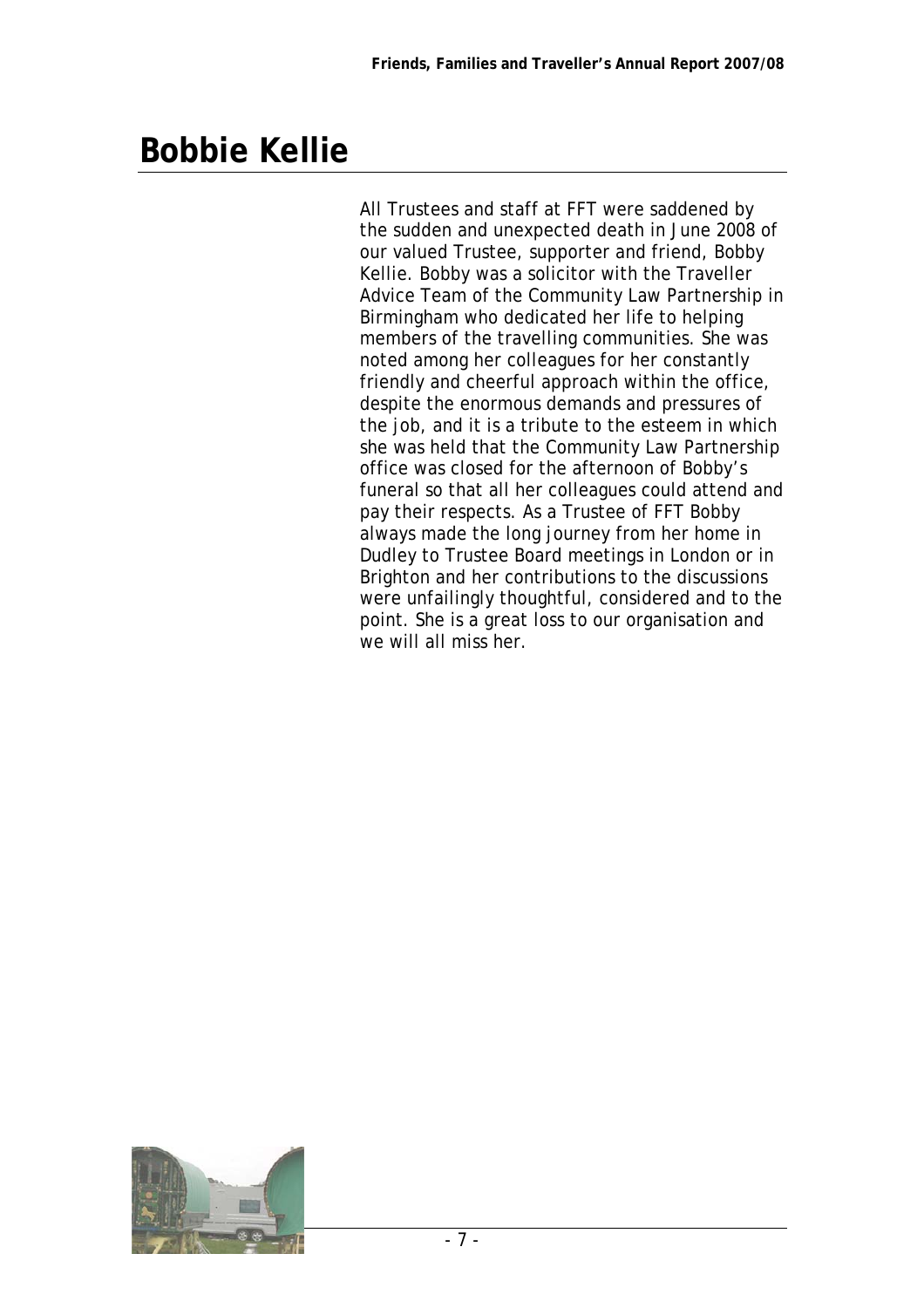#### **Bobbie Kellie**

All Trustees and staff at FFT were saddened by the sudden and unexpected death in June 2008 of our valued Trustee, supporter and friend, Bobby Kellie. Bobby was a solicitor with the Traveller Advice Team of the Community Law Partnership in Birmingham who dedicated her life to helping members of the travelling communities. She was noted among her colleagues for her constantly friendly and cheerful approach within the office, despite the enormous demands and pressures of the job, and it is a tribute to the esteem in which she was held that the Community Law Partnership office was closed for the afternoon of Bobby's funeral so that all her colleagues could attend and pay their respects. As a Trustee of FFT Bobby always made the long journey from her home in Dudley to Trustee Board meetings in London or in Brighton and her contributions to the discussions were unfailingly thoughtful, considered and to the point. She is a great loss to our organisation and we will all miss her.

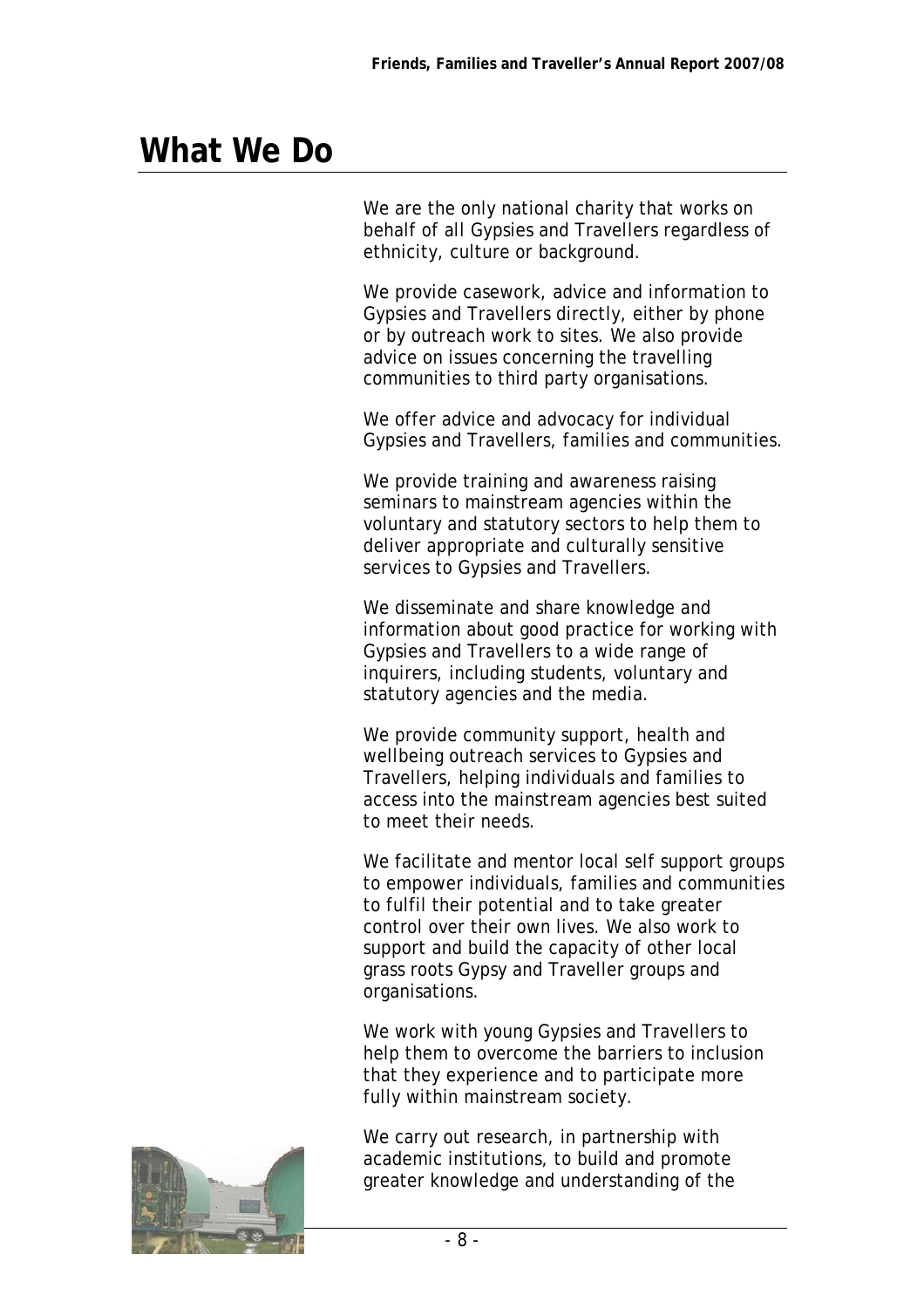#### **What We Do**

We are the only national charity that works on behalf of all Gypsies and Travellers regardless of ethnicity, culture or background.

We provide casework, advice and information to Gypsies and Travellers directly, either by phone or by outreach work to sites. We also provide advice on issues concerning the travelling communities to third party organisations.

We offer advice and advocacy for individual Gypsies and Travellers, families and communities.

We provide training and awareness raising seminars to mainstream agencies within the voluntary and statutory sectors to help them to deliver appropriate and culturally sensitive services to Gypsies and Travellers.

We disseminate and share knowledge and information about good practice for working with Gypsies and Travellers to a wide range of inquirers, including students, voluntary and statutory agencies and the media.

We provide community support, health and wellbeing outreach services to Gypsies and Travellers, helping individuals and families to access into the mainstream agencies best suited to meet their needs.

We facilitate and mentor local self support groups to empower individuals, families and communities to fulfil their potential and to take greater control over their own lives. We also work to support and build the capacity of other local grass roots Gypsy and Traveller groups and organisations.

We work with young Gypsies and Travellers to help them to overcome the barriers to inclusion that they experience and to participate more fully within mainstream society.

We carry out research, in partnership with academic institutions, to build and promote greater knowledge and understanding of the

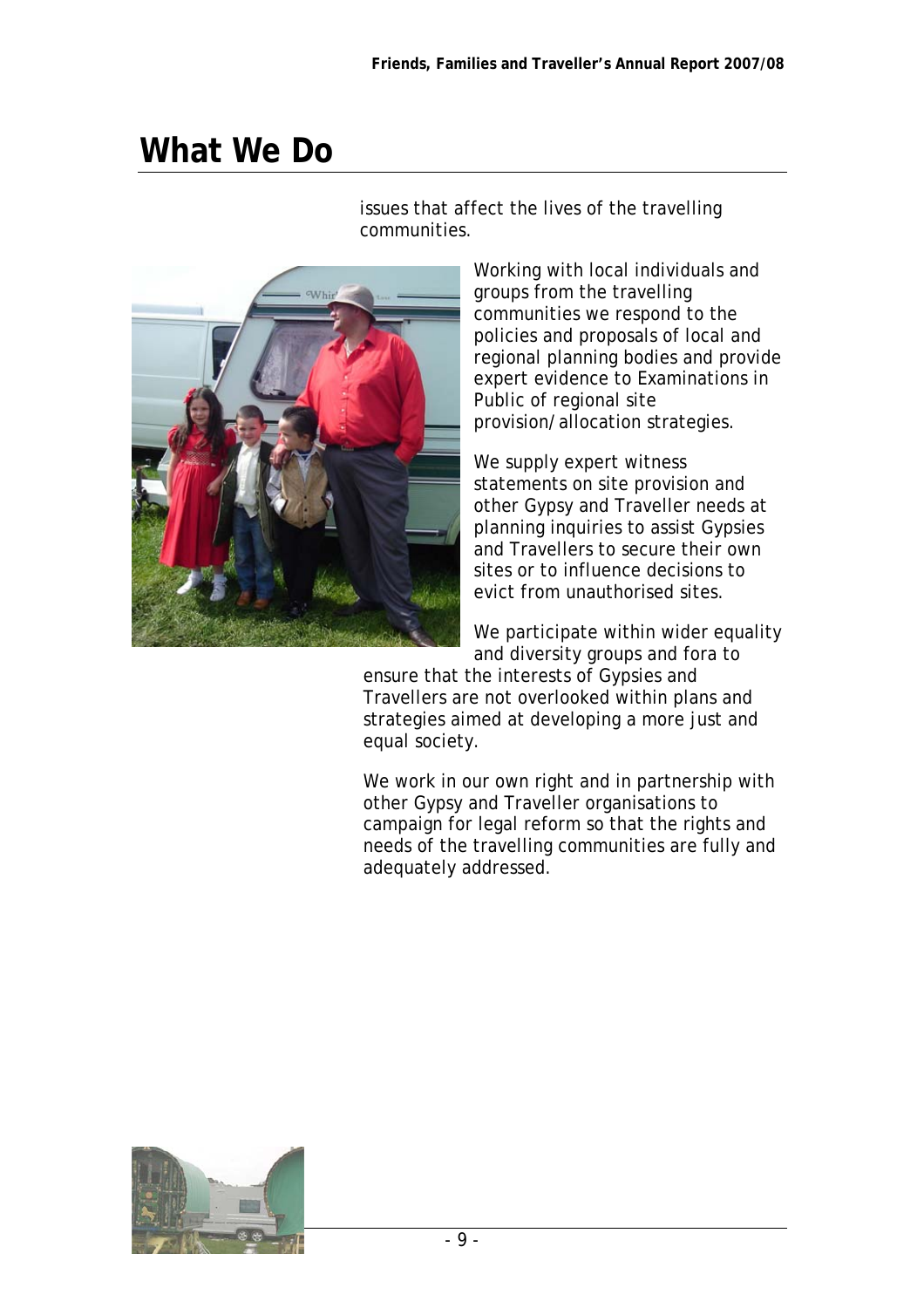# **What We Do**



issues that affect the lives of the travelling communities.

> Working with local individuals and groups from the travelling communities we respond to the policies and proposals of local and regional planning bodies and provide expert evidence to Examinations in Public of regional site provision/allocation strategies.

We supply expert witness statements on site provision and other Gypsy and Traveller needs at planning inquiries to assist Gypsies and Travellers to secure their own sites or to influence decisions to evict from unauthorised sites.

We participate within wider equality and diversity groups and fora to

ensure that the interests of Gypsies and Travellers are not overlooked within plans and strategies aimed at developing a more just and equal society.

We work in our own right and in partnership with other Gypsy and Traveller organisations to campaign for legal reform so that the rights and needs of the travelling communities are fully and adequately addressed.

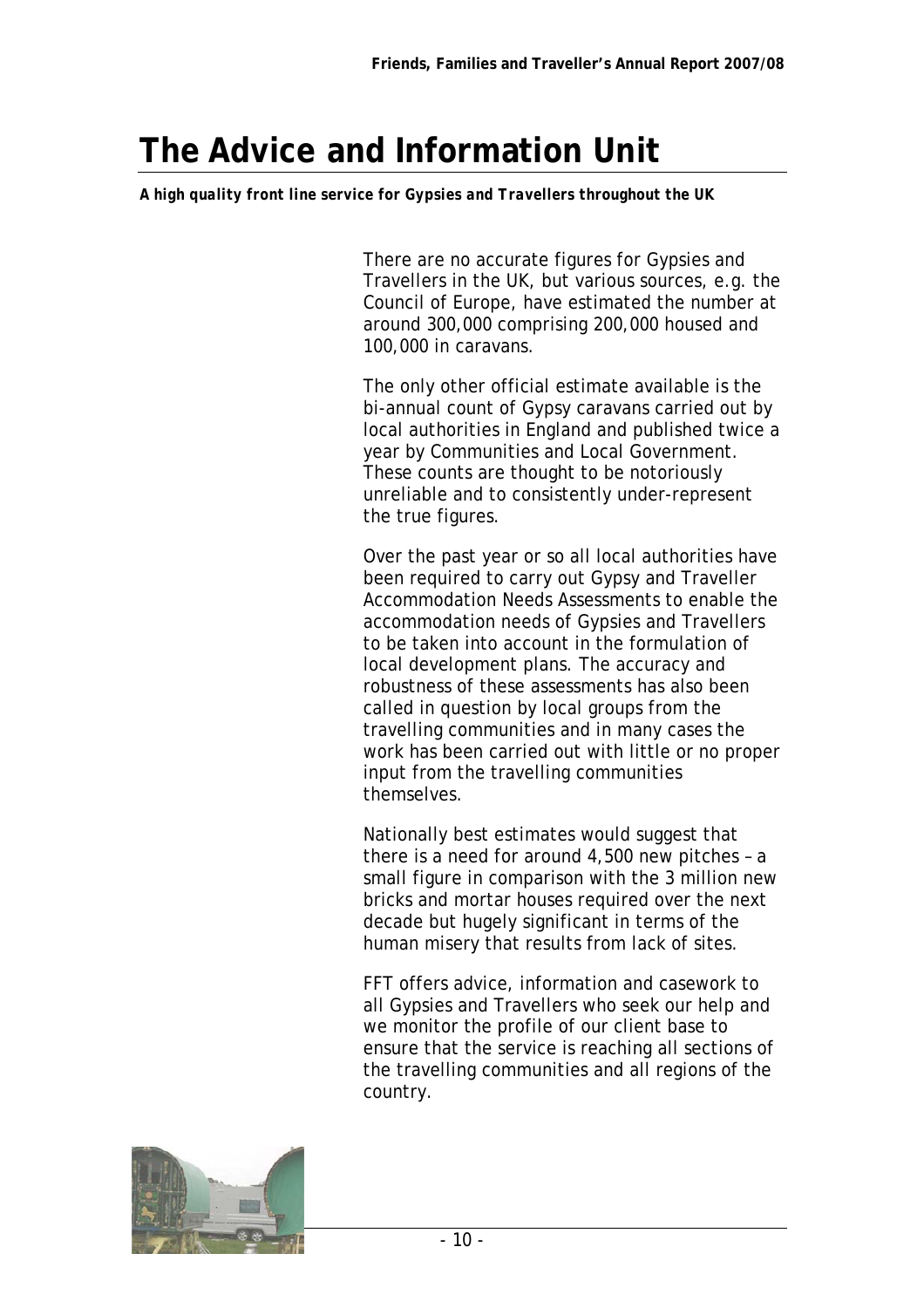# **The Advice and Information Unit**

*A high quality front line service for Gypsies and Travellers throughout the UK* 

There are no accurate figures for Gypsies and Travellers in the UK, but various sources, e.g. the Council of Europe, have estimated the number at around 300,000 comprising 200,000 housed and 100,000 in caravans.

The only other official estimate available is the bi-annual count of Gypsy caravans carried out by local authorities in England and published twice a year by Communities and Local Government. These counts are thought to be notoriously unreliable and to consistently under-represent the true figures.

Over the past year or so all local authorities have been required to carry out Gypsy and Traveller Accommodation Needs Assessments to enable the accommodation needs of Gypsies and Travellers to be taken into account in the formulation of local development plans. The accuracy and robustness of these assessments has also been called in question by local groups from the travelling communities and in many cases the work has been carried out with little or no proper input from the travelling communities themselves.

Nationally best estimates would suggest that there is a need for around 4,500 new pitches – a small figure in comparison with the 3 million new bricks and mortar houses required over the next decade but hugely significant in terms of the human misery that results from lack of sites.

FFT offers advice, information and casework to all Gypsies and Travellers who seek our help and we monitor the profile of our client base to ensure that the service is reaching all sections of the travelling communities and all regions of the country.

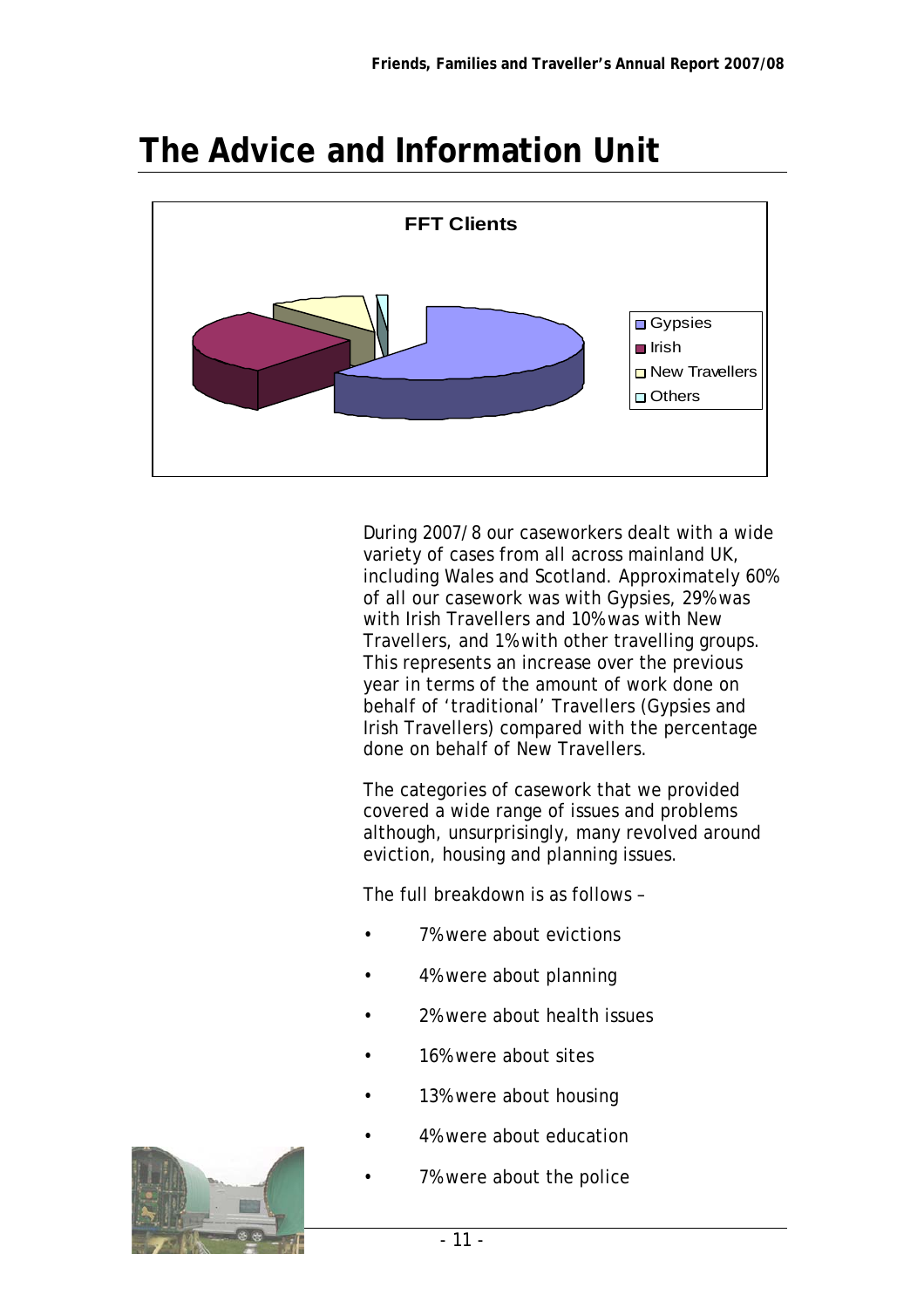#### **The Advice and Information Unit**



During 2007/8 our caseworkers dealt with a wide variety of cases from all across mainland UK, including Wales and Scotland. Approximately 60% of all our casework was with Gypsies, 29% was with Irish Travellers and 10% was with New Travellers, and 1% with other travelling groups. This represents an increase over the previous year in terms of the amount of work done on behalf of 'traditional' Travellers (Gypsies and Irish Travellers) compared with the percentage done on behalf of New Travellers.

The categories of casework that we provided covered a wide range of issues and problems although, unsurprisingly, many revolved around eviction, housing and planning issues.

The full breakdown is as follows –

- 7% were about evictions
- 4% were about planning
- 2% were about health issues
- 16% were about sites
- 13% were about housing
- 4% were about education
- 7% were about the police

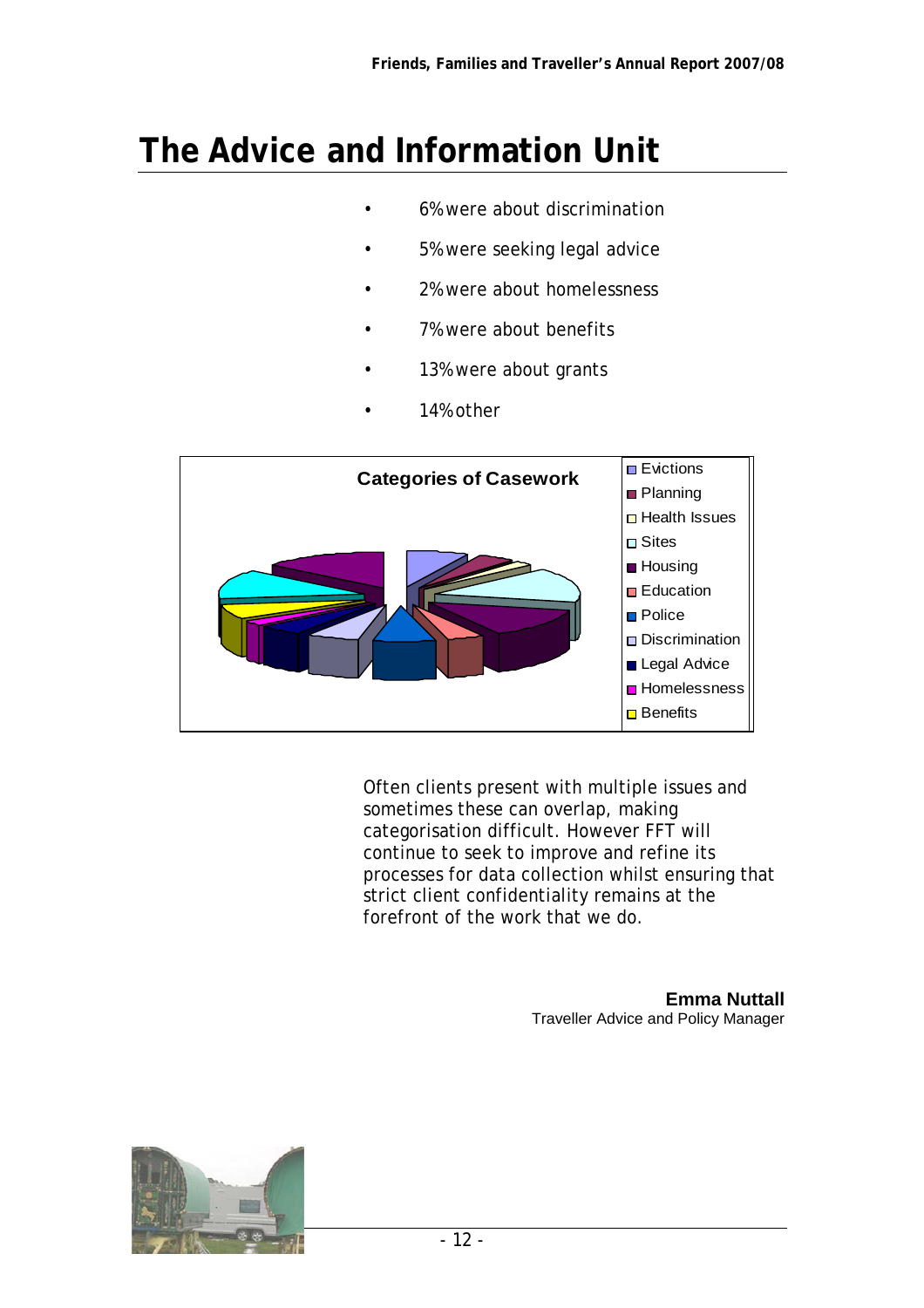#### **The Advice and Information Unit**

- 6% were about discrimination
- 5% were seeking legal advice
- 2% were about homelessness
- 7% were about benefits
- 13% were about grants
- 14% other



Often clients present with multiple issues and sometimes these can overlap, making categorisation difficult. However FFT will continue to seek to improve and refine its processes for data collection whilst ensuring that strict client confidentiality remains at the forefront of the work that we do.

> **Emma Nuttall** Traveller Advice and Policy Manager

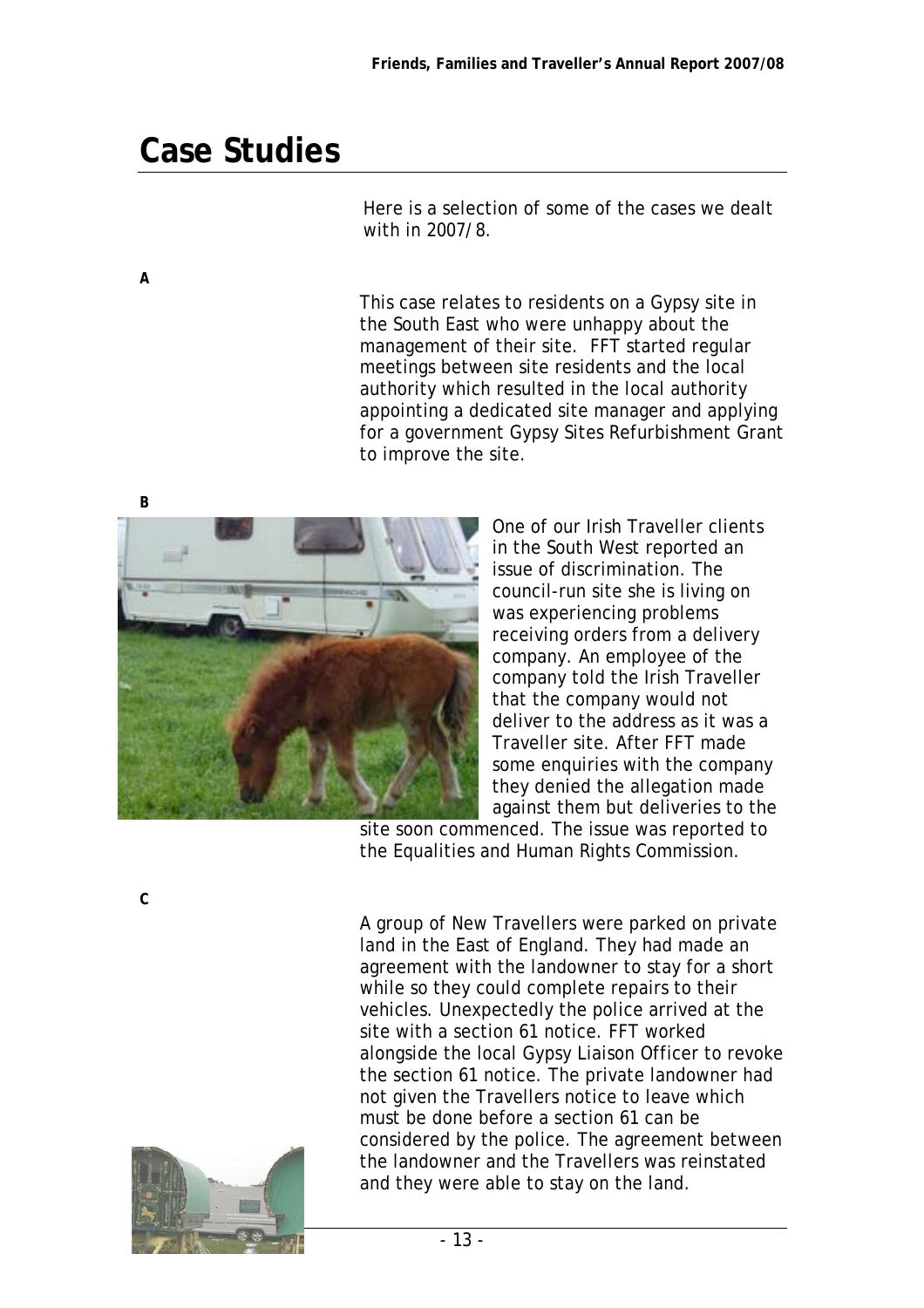#### **Case Studies**

*A* 

Here is a selection of some of the cases we dealt with in 2007/8.

This case relates to residents on a Gypsy site in the South East who were unhappy about the management of their site. FFT started regular meetings between site residents and the local authority which resulted in the local authority appointing a dedicated site manager and applying for a government Gypsy Sites Refurbishment Grant to improve the site.



One of our Irish Traveller clients in the South West reported an issue of discrimination. The council-run site she is living on was experiencing problems receiving orders from a delivery company. An employee of the company told the Irish Traveller that the company would not deliver to the address as it was a Traveller site. After FFT made some enquiries with the company they denied the allegation made against them but deliveries to the

site soon commenced. The issue was reported to the Equalities and Human Rights Commission.

*C* 



A group of New Travellers were parked on private land in the East of England. They had made an agreement with the landowner to stay for a short while so they could complete repairs to their vehicles. Unexpectedly the police arrived at the site with a section 61 notice. FFT worked alongside the local Gypsy Liaison Officer to revoke the section 61 notice. The private landowner had not given the Travellers notice to leave which must be done before a section 61 can be considered by the police. The agreement between the landowner and the Travellers was reinstated and they were able to stay on the land.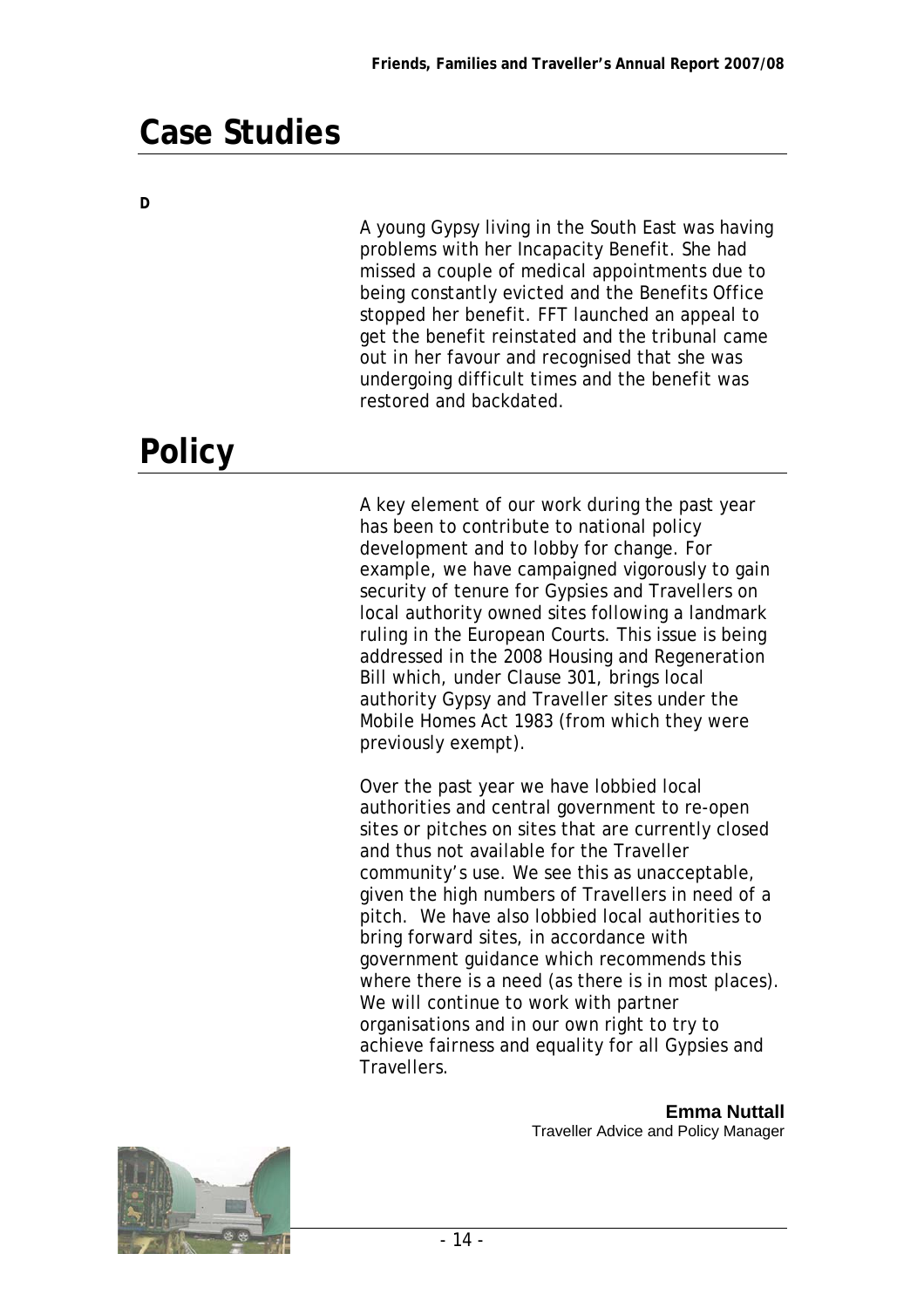#### **Case Studies**

*D* 

A young Gypsy living in the South East was having problems with her Incapacity Benefit. She had missed a couple of medical appointments due to being constantly evicted and the Benefits Office stopped her benefit. FFT launched an appeal to get the benefit reinstated and the tribunal came out in her favour and recognised that she was undergoing difficult times and the benefit was restored and backdated.

## **Policy**

A key element of our work during the past year has been to contribute to national policy development and to lobby for change. For example, we have campaigned vigorously to gain security of tenure for Gypsies and Travellers on local authority owned sites following a landmark ruling in the European Courts. This issue is being addressed in the 2008 Housing and Regeneration Bill which, under Clause 301, brings local authority Gypsy and Traveller sites under the Mobile Homes Act 1983 (from which they were previously exempt).

Over the past year we have lobbied local authorities and central government to re-open sites or pitches on sites that are currently closed and thus not available for the Traveller community's use. We see this as unacceptable, given the high numbers of Travellers in need of a pitch. We have also lobbied local authorities to bring forward sites, in accordance with government guidance which recommends this where there is a need (as there is in most places). We will continue to work with partner organisations and in our own right to try to achieve fairness and equality for all Gypsies and Travellers.

> **Emma Nuttall** Traveller Advice and Policy Manager

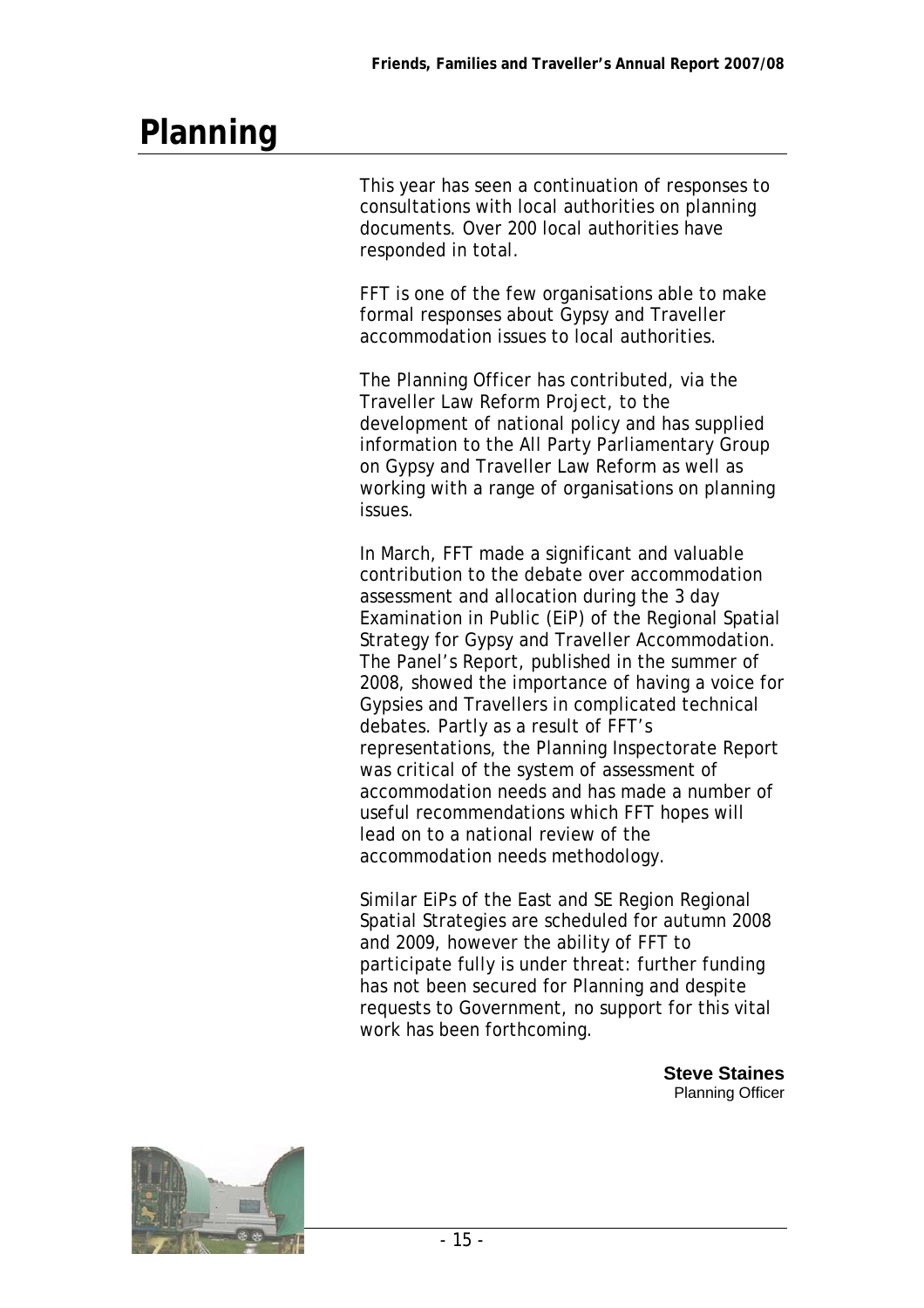# **Planning**

This year has seen a continuation of responses to consultations with local authorities on planning documents. Over 200 local authorities have responded in total.

FFT is one of the few organisations able to make formal responses about Gypsy and Traveller accommodation issues to local authorities.

The Planning Officer has contributed, via the Traveller Law Reform Project, to the development of national policy and has supplied information to the All Party Parliamentary Group on Gypsy and Traveller Law Reform as well as working with a range of organisations on planning issues.

In March, FFT made a significant and valuable contribution to the debate over accommodation assessment and allocation during the 3 day Examination in Public (EiP) of the Regional Spatial Strategy for Gypsy and Traveller Accommodation. The Panel's Report, published in the summer of 2008, showed the importance of having a voice for Gypsies and Travellers in complicated technical debates. Partly as a result of FFT's representations, the Planning Inspectorate Report was critical of the system of assessment of accommodation needs and has made a number of useful recommendations which FFT hopes will lead on to a national review of the accommodation needs methodology.

Similar EiPs of the East and SE Region Regional Spatial Strategies are scheduled for autumn 2008 and 2009, however the ability of FFT to participate fully is under threat: further funding has not been secured for Planning and despite requests to Government, no support for this vital work has been forthcoming.

> **Steve Staines**  Planning Officer

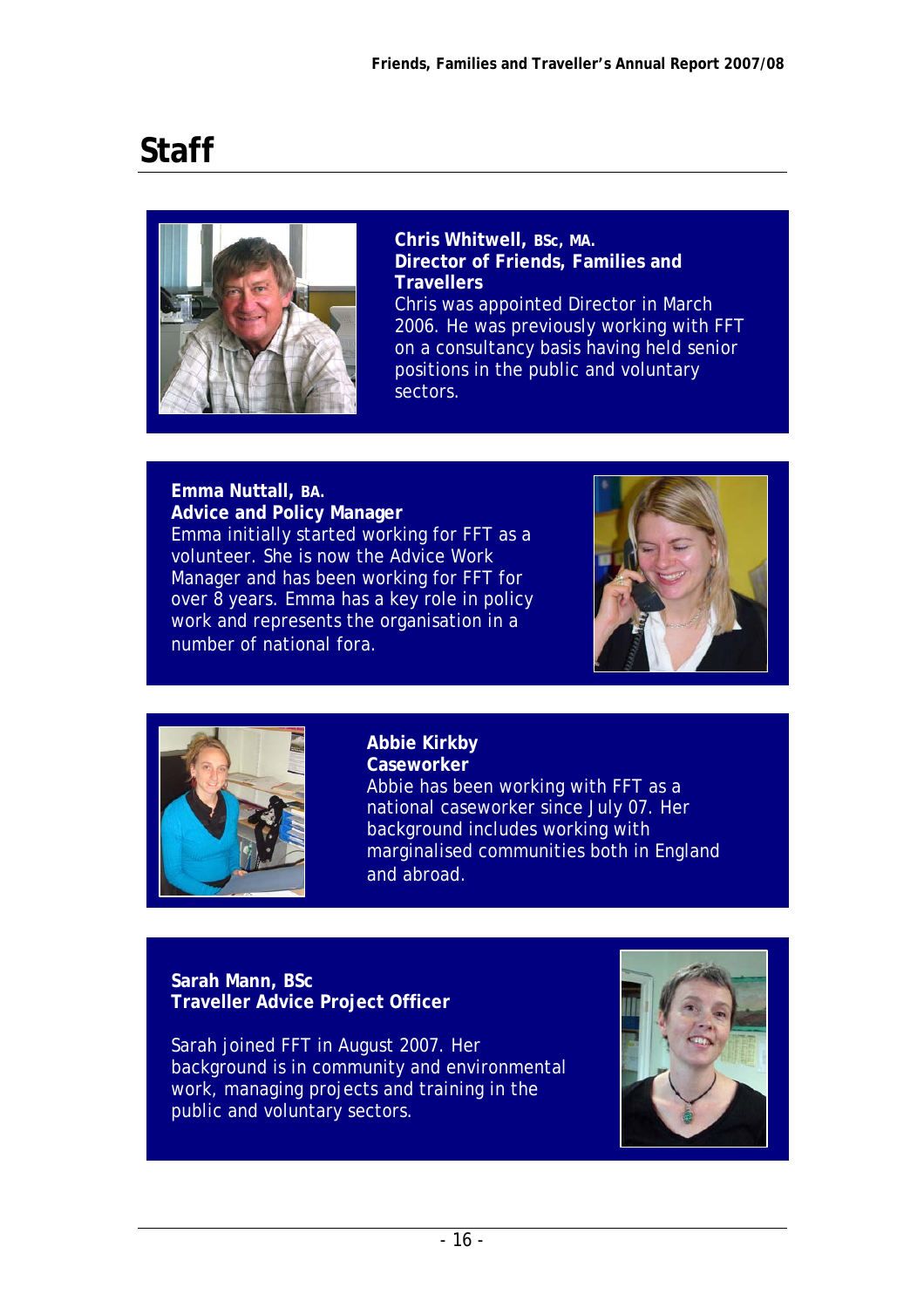# **Staff**



**Chris Whitwell, BSc, MA. Director of Friends, Families and Travellers**  Chris was appointed Director in March 2006. He was previously working with FFT on a consultancy basis having held senior positions in the public and voluntary sectors.

**Emma Nuttall, BA. Advice and Policy Manager**  Emma initially started working for FFT as a volunteer. She is now the Advice Work Manager and has been working for FFT for over 8 years. Emma has a key role in policy work and represents the organisation in a number of national fora.





#### **Abbie Kirkby**

**Caseworker**  Abbie has been working with FFT as a national caseworker since July 07. Her background includes working with marginalised communities both in England and abroad.

**Sarah Mann, BSc Traveller Advice Project Officer** 

Sarah joined FFT in August 2007. Her background is in community and environmental work, managing projects and training in the public and voluntary sectors.

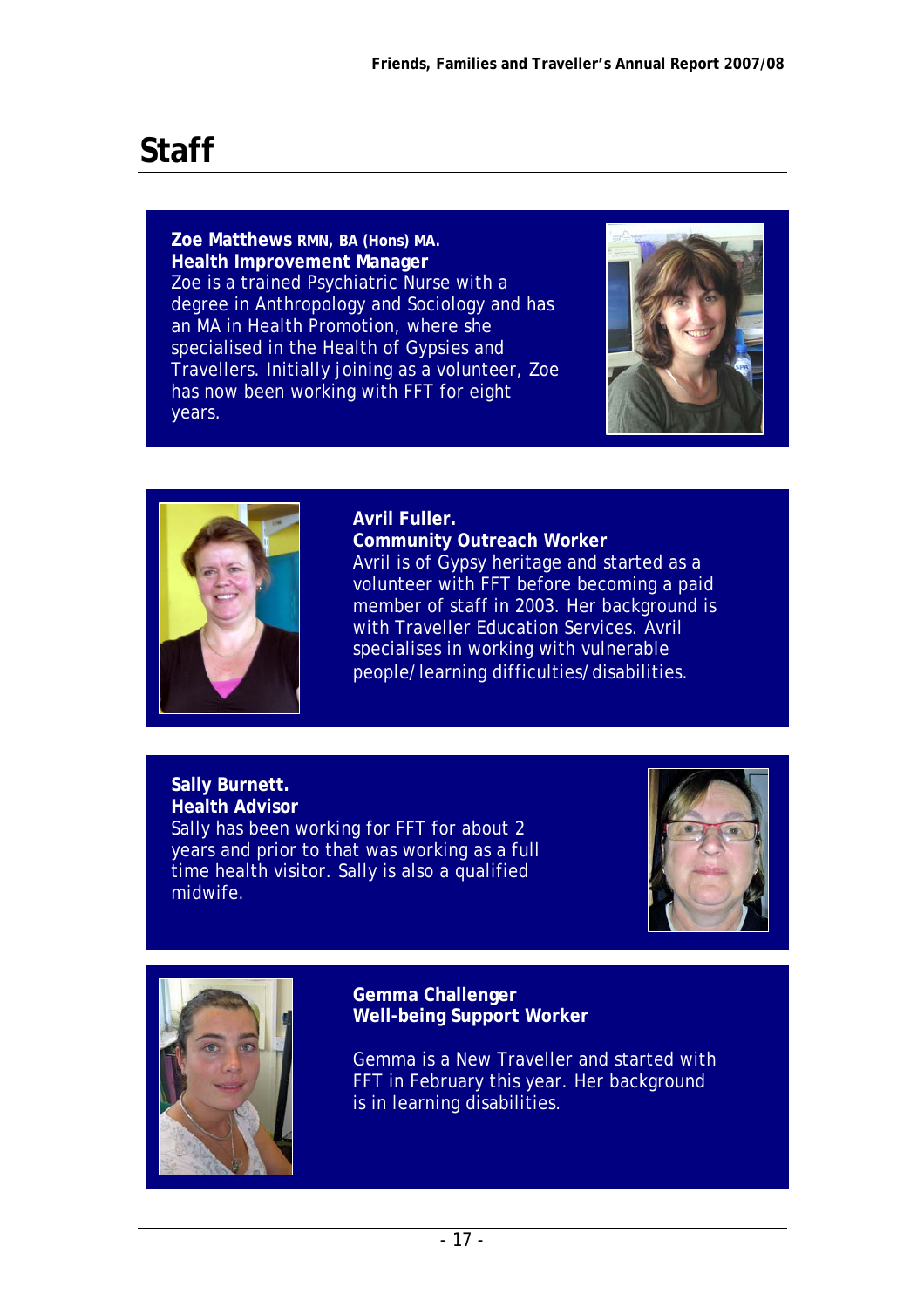## **Staff**

**Zoe Matthews RMN, BA (Hons) MA. Health Improvement Manager** Zoe is a trained Psychiatric Nurse with a degree in Anthropology and Sociology and has an MA in Health Promotion, where she specialised in the Health of Gypsies and Travellers. Initially joining as a volunteer, Zoe has now been working with FFT for eight years.





#### **Avril Fuller.**

**Community Outreach Worker**  Avril is of Gypsy heritage and started as a volunteer with FFT before becoming a paid member of staff in 2003. Her background is with Traveller Education Services. Avril specialises in working with vulnerable people/learning difficulties/disabilities.

#### **Sally Burnett. Health Advisor**

Sally has been working for FFT for about 2 years and prior to that was working as a full time health visitor. Sally is also a qualified midwife.





**Gemma Challenger Well-being Support Worker** 

Gemma is a New Traveller and started with FFT in February this year. Her background is in learning disabilities.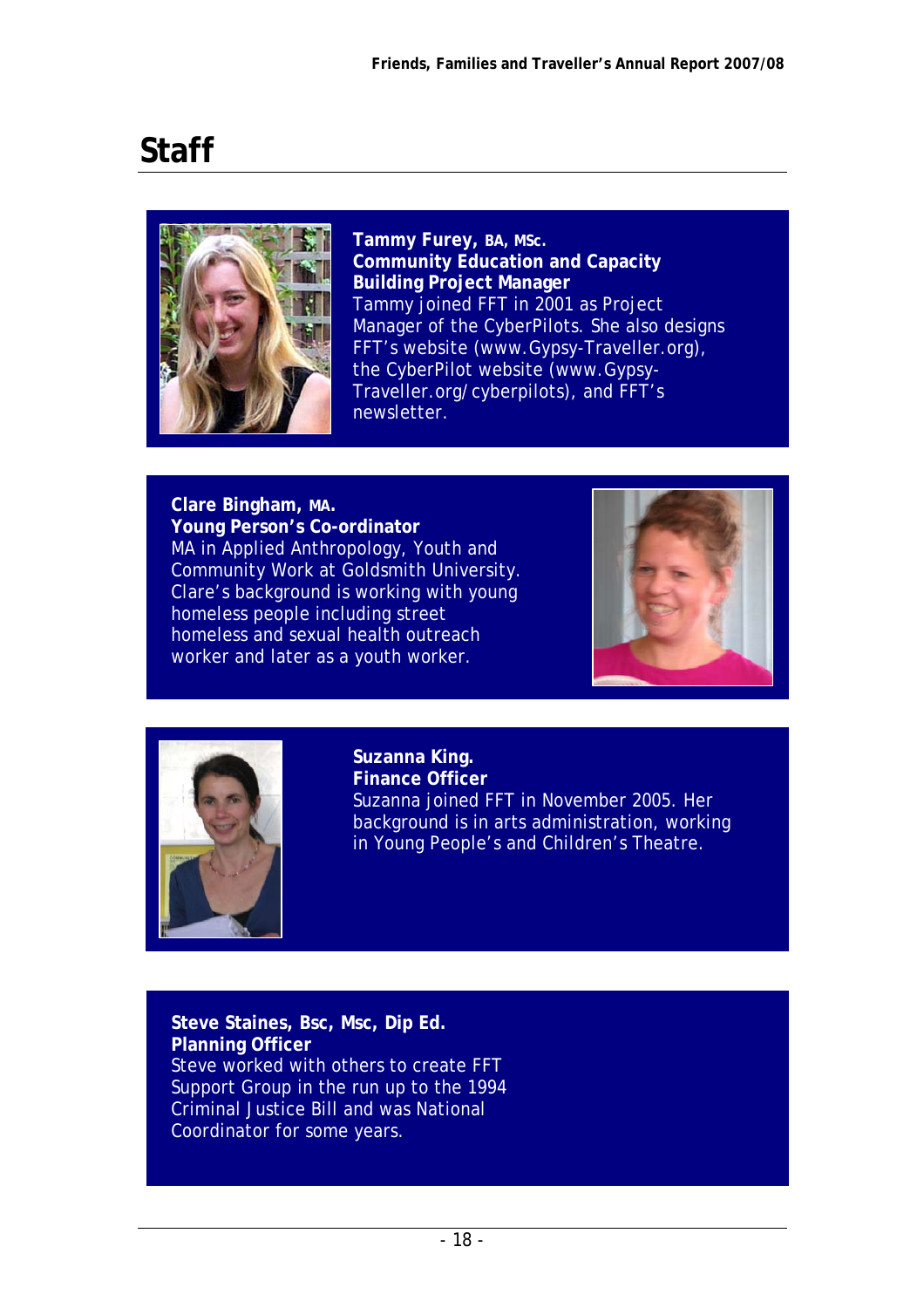### **Staff**



**Tammy Furey, BA, MSc. Community Education and Capacity Building Project Manager** Tammy joined FFT in 2001 as Project Manager of the CyberPilots. She also designs FFT's website (www.Gypsy-Traveller.org), the CyberPilot website (www.Gypsy-Traveller.org/cyberpilots), and FFT's newsletter.

**Clare Bingham, MA. Young Person's Co-ordinator**  MA in Applied Anthropology, Youth and Community Work at Goldsmith University. Clare's background is working with young homeless people including street homeless and sexual health outreach worker and later as a youth worker.





**Suzanna King. Finance Officer**  Suzanna joined FFT in November 2005. Her background is in arts administration, working in Young People's and Children's Theatre.

**Steve Staines, Bsc, Msc, Dip Ed. Planning Officer**  Steve worked with others to create FFT Support Group in the run up to the 1994 Criminal Justice Bill and was National Coordinator for some years.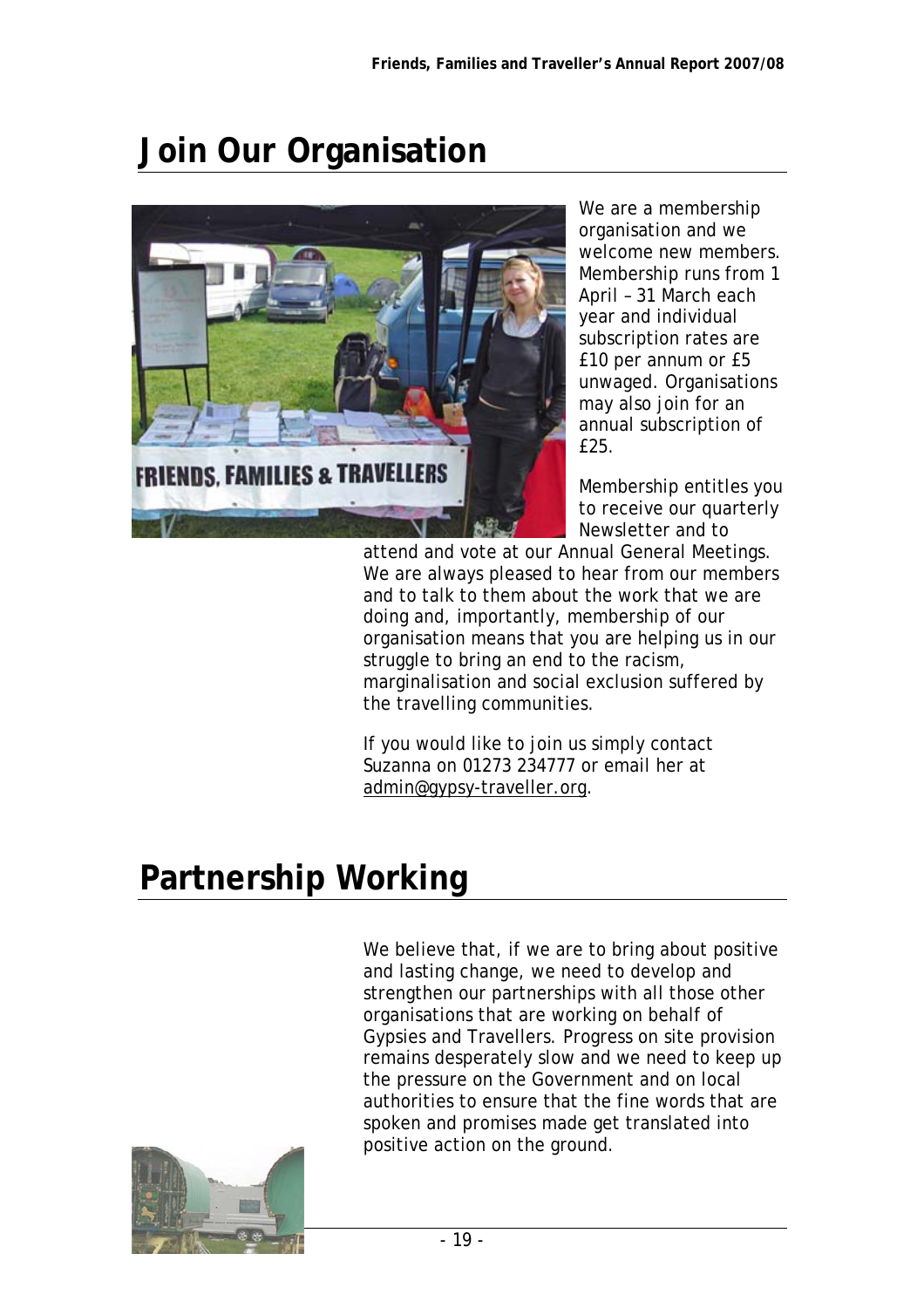# **Join Our Organisation**



We are a membership organisation and we welcome new members. Membership runs from 1 April – 31 March each year and individual subscription rates are £10 per annum or £5 unwaged. Organisations may also join for an annual subscription of £25.

Membership entitles you to receive our quarterly Newsletter and to

attend and vote at our Annual General Meetings. We are always pleased to hear from our members and to talk to them about the work that we are doing and, importantly, membership of our organisation means that you are helping us in our struggle to bring an end to the racism, marginalisation and social exclusion suffered by the travelling communities.

If you would like to join us simply contact Suzanna on 01273 234777 or email her at admin@gypsy-traveller.org.

# **Partnership Working**

We believe that, if we are to bring about positive and lasting change, we need to develop and strengthen our partnerships with all those other organisations that are working on behalf of Gypsies and Travellers. Progress on site provision remains desperately slow and we need to keep up the pressure on the Government and on local authorities to ensure that the fine words that are spoken and promises made get translated into positive action on the ground.

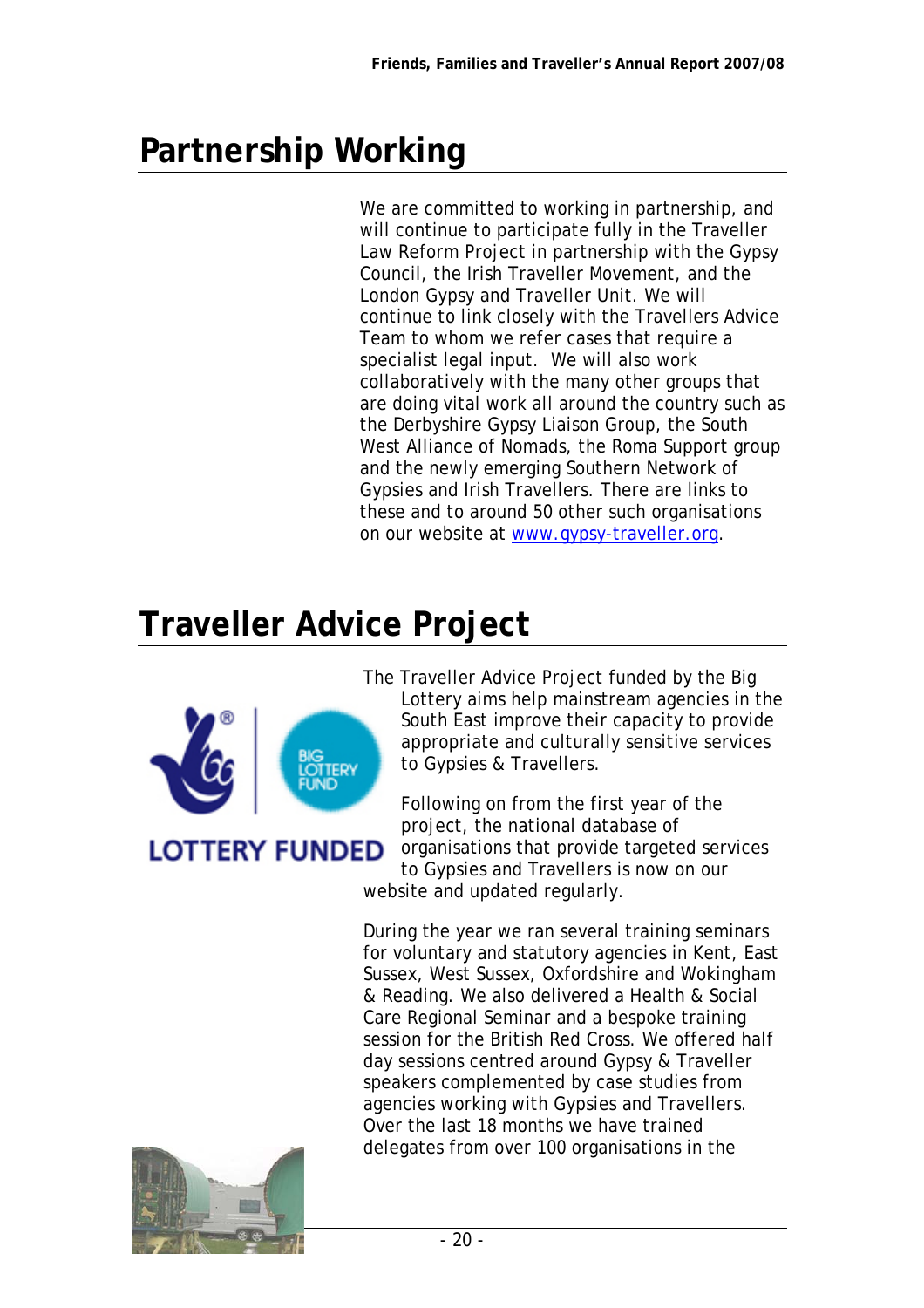# **Partnership Working**

We are committed to working in partnership, and will continue to participate fully in the Traveller Law Reform Project in partnership with the Gypsy Council, the Irish Traveller Movement, and the London Gypsy and Traveller Unit. We will continue to link closely with the Travellers Advice Team to whom we refer cases that require a specialist legal input. We will also work collaboratively with the many other groups that are doing vital work all around the country such as the Derbyshire Gypsy Liaison Group, the South West Alliance of Nomads, the Roma Support group and the newly emerging Southern Network of Gypsies and Irish Travellers. There are links to these and to around 50 other such organisations on our website at www.gypsy-traveller.org.

# **Traveller Advice Project**



**LOTTERY FUNDED** 

The Traveller Advice Project funded by the Big Lottery aims help mainstream agencies in the South East improve their capacity to provide appropriate and culturally sensitive services to Gypsies & Travellers.

Following on from the first year of the project, the national database of organisations that provide targeted services to Gypsies and Travellers is now on our website and updated regularly.

During the year we ran several training seminars for voluntary and statutory agencies in Kent, East Sussex, West Sussex, Oxfordshire and Wokingham & Reading. We also delivered a Health & Social Care Regional Seminar and a bespoke training session for the British Red Cross. We offered half day sessions centred around Gypsy & Traveller speakers complemented by case studies from agencies working with Gypsies and Travellers. Over the last 18 months we have trained delegates from over 100 organisations in the

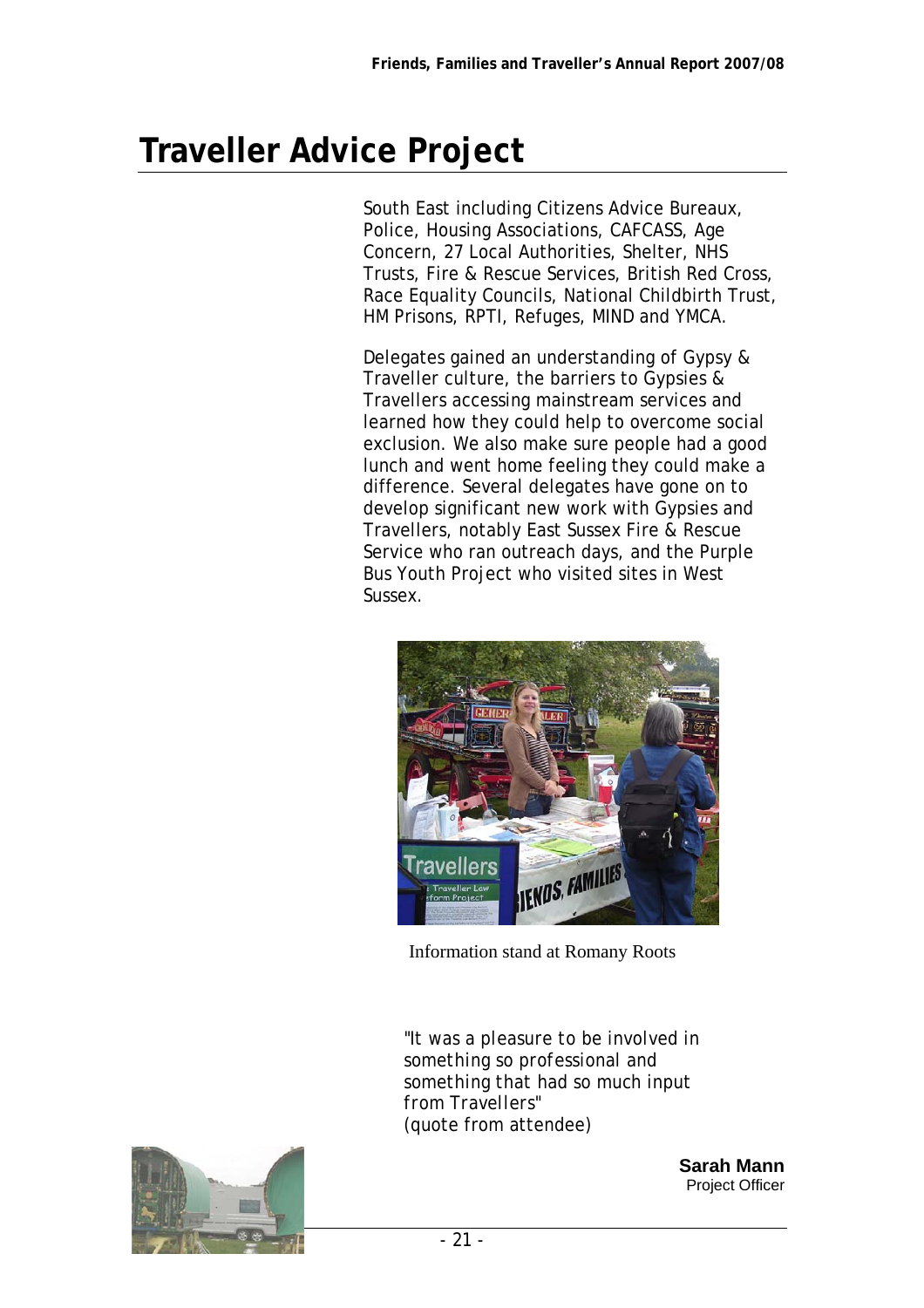# **Traveller Advice Project**

South East including Citizens Advice Bureaux, Police, Housing Associations, CAFCASS, Age Concern, 27 Local Authorities, Shelter, NHS Trusts, Fire & Rescue Services, British Red Cross, Race Equality Councils, National Childbirth Trust, HM Prisons, RPTI, Refuges, MIND and YMCA.

Delegates gained an understanding of Gypsy & Traveller culture, the barriers to Gypsies & Travellers accessing mainstream services and learned how they could help to overcome social exclusion. We also make sure people had a good lunch and went home feeling they could make a difference. Several delegates have gone on to develop significant new work with Gypsies and Travellers, notably East Sussex Fire & Rescue Service who ran outreach days, and the Purple Bus Youth Project who visited sites in West Sussex.



Information stand at Romany Roots

*"It was a pleasure to be involved in something so professional and something that had so much input from Travellers"*  (quote from attendee)



**Sarah Mann**  Project Officer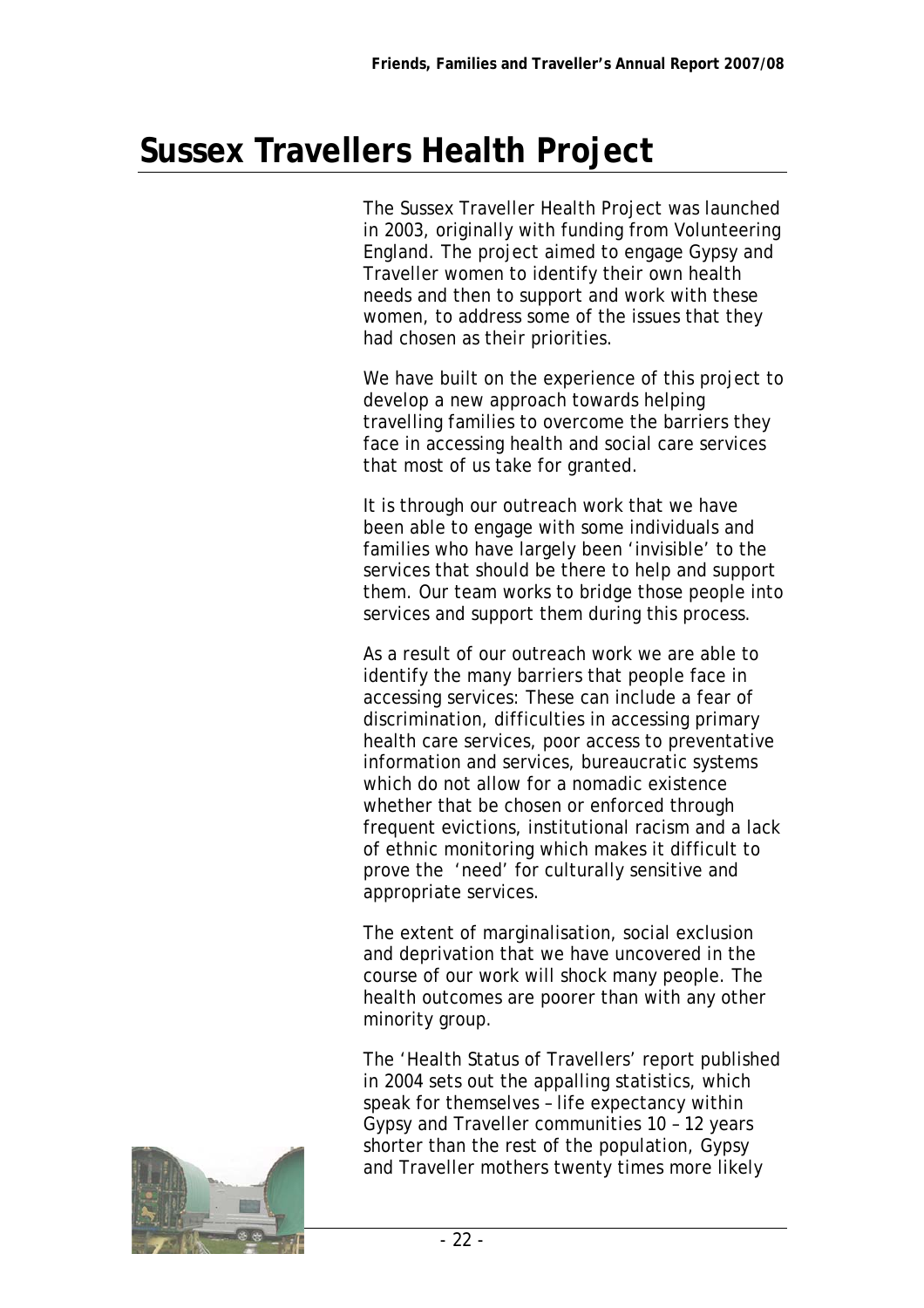#### **Sussex Travellers Health Project**

The Sussex Traveller Health Project was launched in 2003, originally with funding from Volunteering England. The project aimed to engage Gypsy and Traveller women to identify their own health needs and then to support and work with these women, to address some of the issues that they had chosen as their priorities.

We have built on the experience of this project to develop a new approach towards helping travelling families to overcome the barriers they face in accessing health and social care services that most of us take for granted.

It is through our outreach work that we have been able to engage with some individuals and families who have largely been 'invisible' to the services that should be there to help and support them. Our team works to bridge those people into services and support them during this process.

As a result of our outreach work we are able to identify the many barriers that people face in accessing services: These can include a fear of discrimination, difficulties in accessing primary health care services, poor access to preventative information and services, bureaucratic systems which do not allow for a nomadic existence whether that be chosen or enforced through frequent evictions, institutional racism and a lack of ethnic monitoring which makes it difficult to prove the 'need' for culturally sensitive and appropriate services.

The extent of marginalisation, social exclusion and deprivation that we have uncovered in the course of our work will shock many people. The health outcomes are poorer than with any other minority group.

The 'Health Status of Travellers' report published in 2004 sets out the appalling statistics, which speak for themselves – life expectancy within Gypsy and Traveller communities 10 – 12 years shorter than the rest of the population, Gypsy and Traveller mothers twenty times more likely

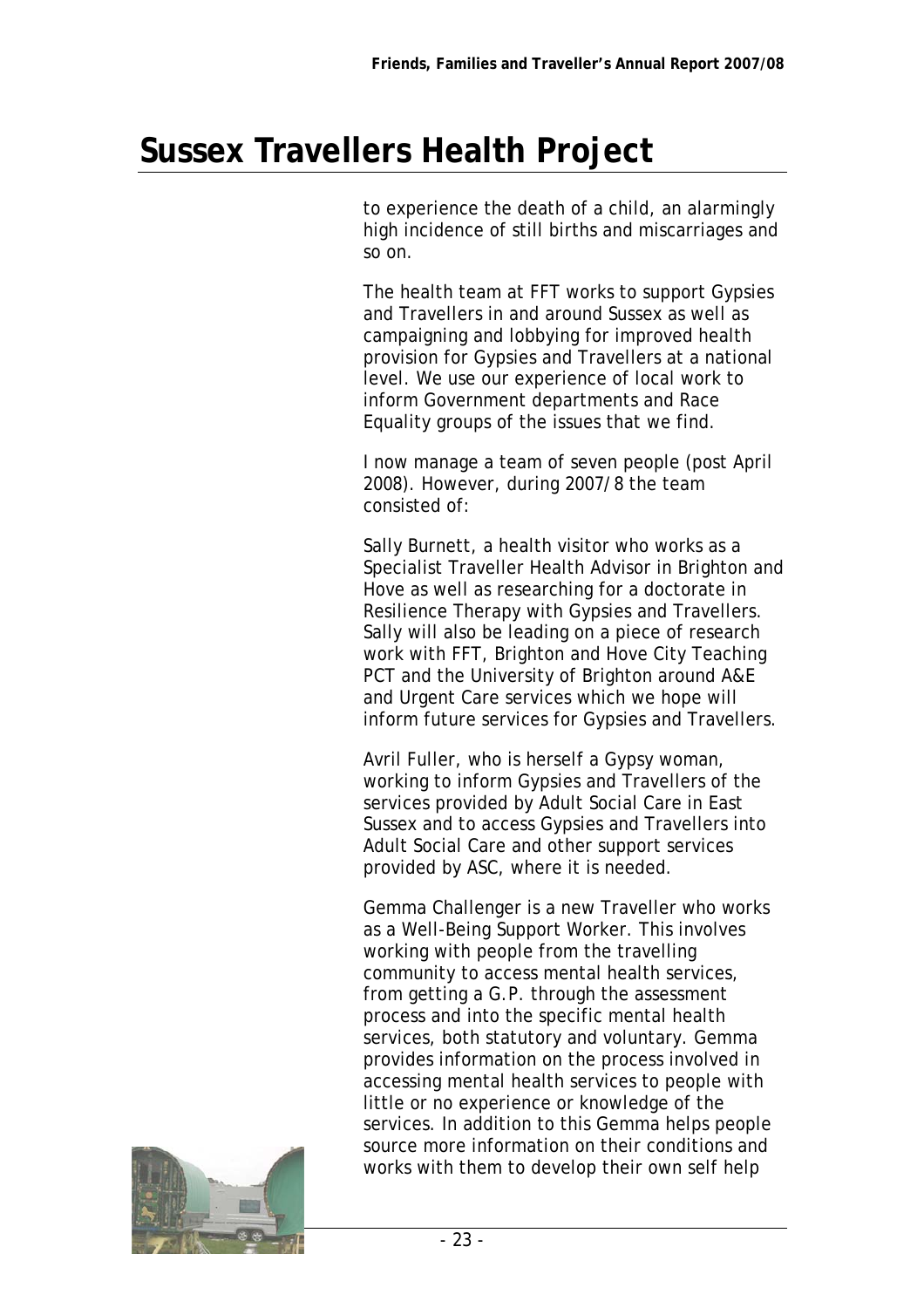#### **Sussex Travellers Health Project**

to experience the death of a child, an alarmingly high incidence of still births and miscarriages and so on.

The health team at FFT works to support Gypsies and Travellers in and around Sussex as well as campaigning and lobbying for improved health provision for Gypsies and Travellers at a national level. We use our experience of local work to inform Government departments and Race Equality groups of the issues that we find.

I now manage a team of seven people (post April 2008). However, during 2007/8 the team consisted of:

Sally Burnett, a health visitor who works as a Specialist Traveller Health Advisor in Brighton and Hove as well as researching for a doctorate in Resilience Therapy with Gypsies and Travellers. Sally will also be leading on a piece of research work with FFT, Brighton and Hove City Teaching PCT and the University of Brighton around A&E and Urgent Care services which we hope will inform future services for Gypsies and Travellers.

Avril Fuller, who is herself a Gypsy woman, working to inform Gypsies and Travellers of the services provided by Adult Social Care in East Sussex and to access Gypsies and Travellers into Adult Social Care and other support services provided by ASC, where it is needed.

Gemma Challenger is a new Traveller who works as a Well-Being Support Worker. This involves working with people from the travelling community to access mental health services, from getting a G.P. through the assessment process and into the specific mental health services, both statutory and voluntary. Gemma provides information on the process involved in accessing mental health services to people with little or no experience or knowledge of the services. In addition to this Gemma helps people source more information on their conditions and works with them to develop their own self help

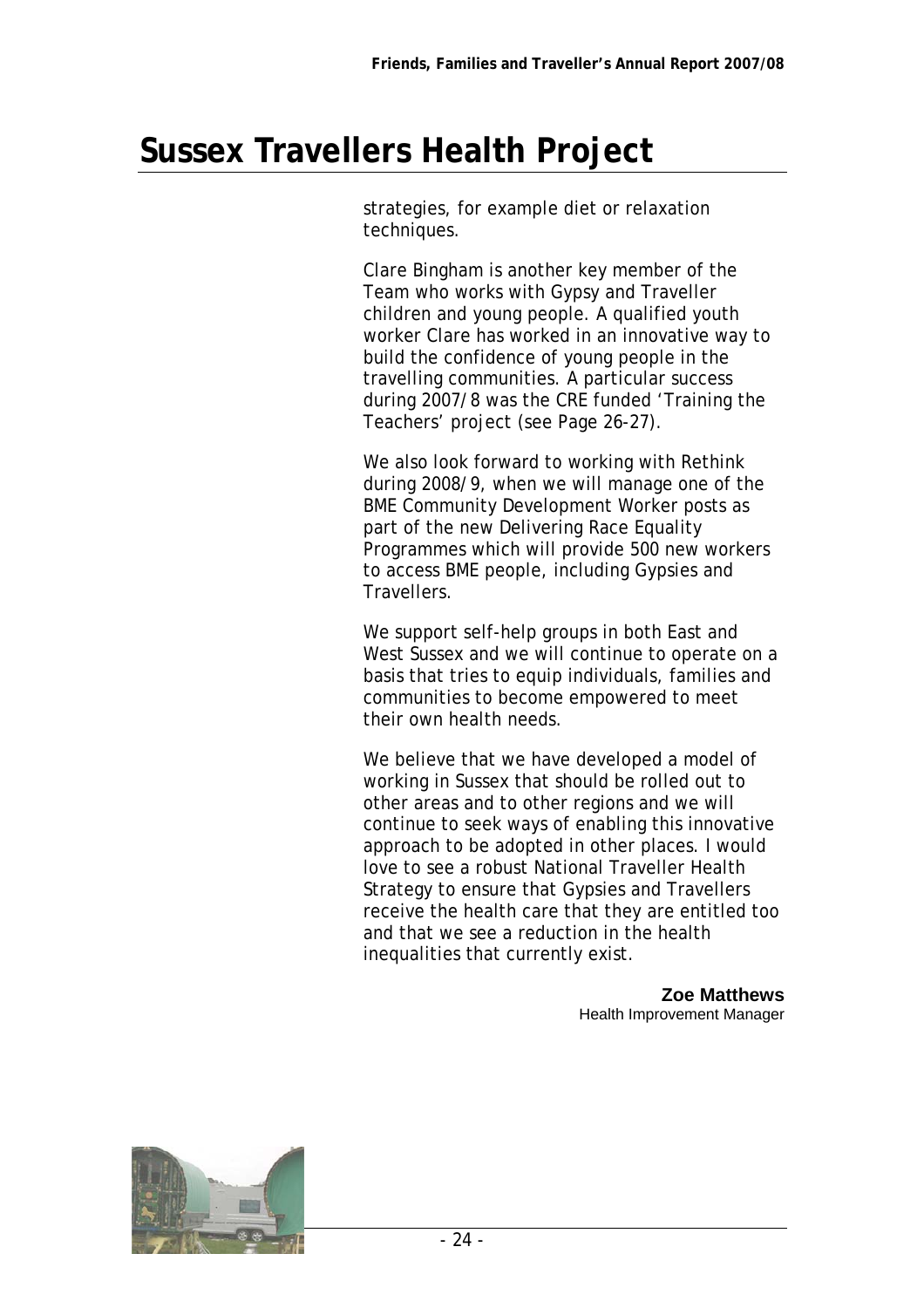#### **Sussex Travellers Health Project**

strategies, for example diet or relaxation techniques.

Clare Bingham is another key member of the Team who works with Gypsy and Traveller children and young people. A qualified youth worker Clare has worked in an innovative way to build the confidence of young people in the travelling communities. A particular success during 2007/8 was the CRE funded 'Training the Teachers' project (see Page 26-27).

We also look forward to working with Rethink during 2008/9, when we will manage one of the BME Community Development Worker posts as part of the new Delivering Race Equality Programmes which will provide 500 new workers to access BME people, including Gypsies and Travellers.

We support self-help groups in both East and West Sussex and we will continue to operate on a basis that tries to equip individuals, families and communities to become empowered to meet their own health needs.

We believe that we have developed a model of working in Sussex that should be rolled out to other areas and to other regions and we will continue to seek ways of enabling this innovative approach to be adopted in other places. I would love to see a robust National Traveller Health Strategy to ensure that Gypsies and Travellers receive the health care that they are entitled too and that we see a reduction in the health inequalities that currently exist.

> **Zoe Matthews**  Health Improvement Manager

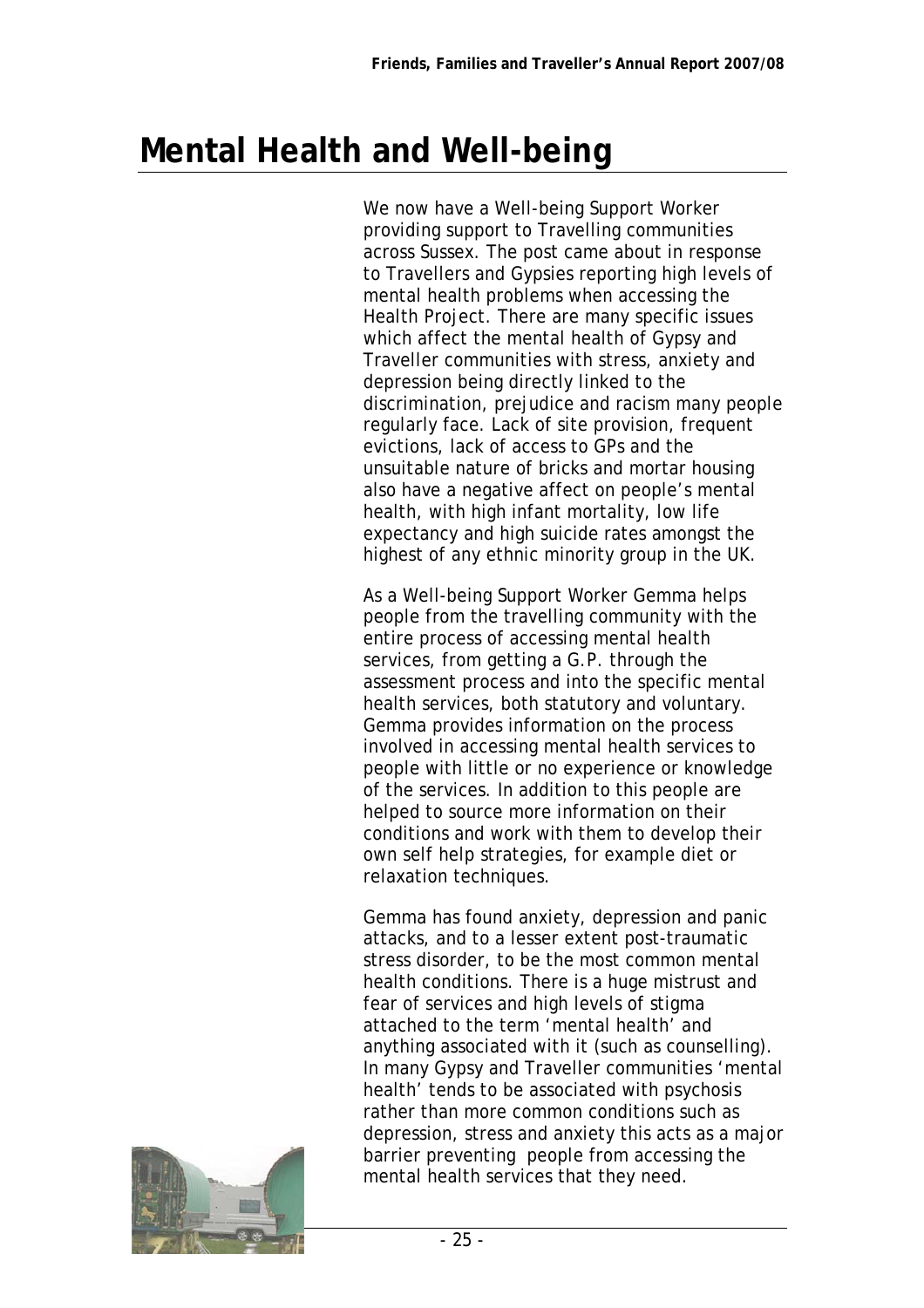#### **Mental Health and Well-being**

We now have a Well-being Support Worker providing support to Travelling communities across Sussex. The post came about in response to Travellers and Gypsies reporting high levels of mental health problems when accessing the Health Project. There are many specific issues which affect the mental health of Gypsy and Traveller communities with stress, anxiety and depression being directly linked to the discrimination, prejudice and racism many people regularly face. Lack of site provision, frequent evictions, lack of access to GPs and the unsuitable nature of bricks and mortar housing also have a negative affect on people's mental health, with high infant mortality, low life expectancy and high suicide rates amongst the highest of any ethnic minority group in the UK.

As a Well-being Support Worker Gemma helps people from the travelling community with the entire process of accessing mental health services, from getting a G.P. through the assessment process and into the specific mental health services, both statutory and voluntary. Gemma provides information on the process involved in accessing mental health services to people with little or no experience or knowledge of the services. In addition to this people are helped to source more information on their conditions and work with them to develop their own self help strategies, for example diet or relaxation techniques.

Gemma has found anxiety, depression and panic attacks, and to a lesser extent post-traumatic stress disorder, to be the most common mental health conditions. There is a huge mistrust and fear of services and high levels of stigma attached to the term 'mental health' and anything associated with it (such as counselling). In many Gypsy and Traveller communities 'mental health' tends to be associated with psychosis rather than more common conditions such as depression, stress and anxiety this acts as a major barrier preventing people from accessing the mental health services that they need.

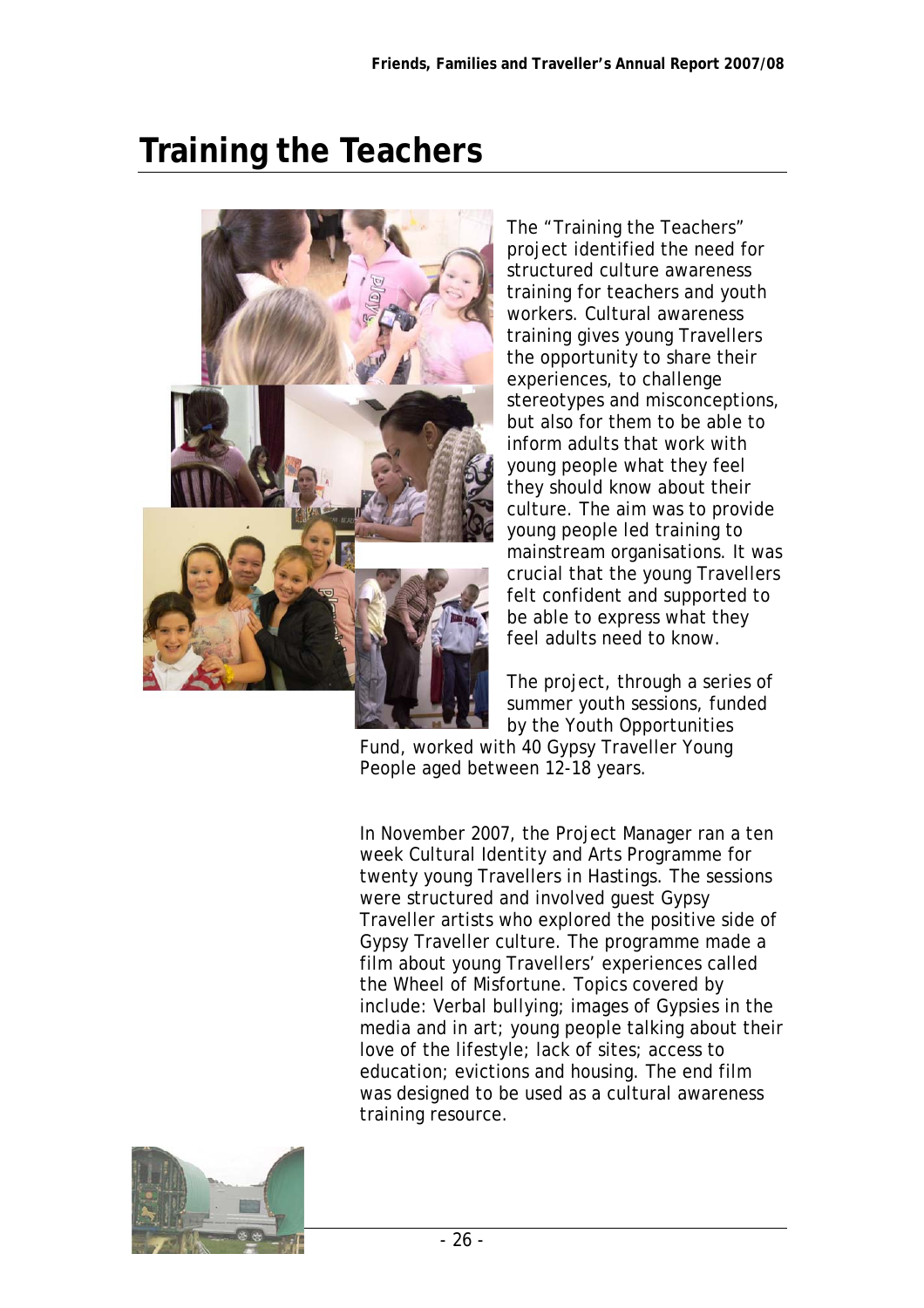# **Training the Teachers**



The "Training the Teachers" project identified the need for structured culture awareness training for teachers and youth workers. Cultural awareness training gives young Travellers the opportunity to share their experiences, to challenge stereotypes and misconceptions, but also for them to be able to inform adults that work with young people what they feel they should know about their culture. The aim was to provide young people led training to mainstream organisations. It was crucial that the young Travellers felt confident and supported to be able to express what they feel adults need to know.

The project, through a series of summer youth sessions, funded by the Youth Opportunities

Fund, worked with 40 Gypsy Traveller Young People aged between 12-18 years.

In November 2007, the Project Manager ran a ten week Cultural Identity and Arts Programme for twenty young Travellers in Hastings. The sessions were structured and involved guest Gypsy Traveller artists who explored the positive side of Gypsy Traveller culture. The programme made a film about young Travellers' experiences called the Wheel of Misfortune. Topics covered by include: Verbal bullying; images of Gypsies in the media and in art; young people talking about their love of the lifestyle; lack of sites; access to education; evictions and housing. The end film was designed to be used as a cultural awareness training resource.

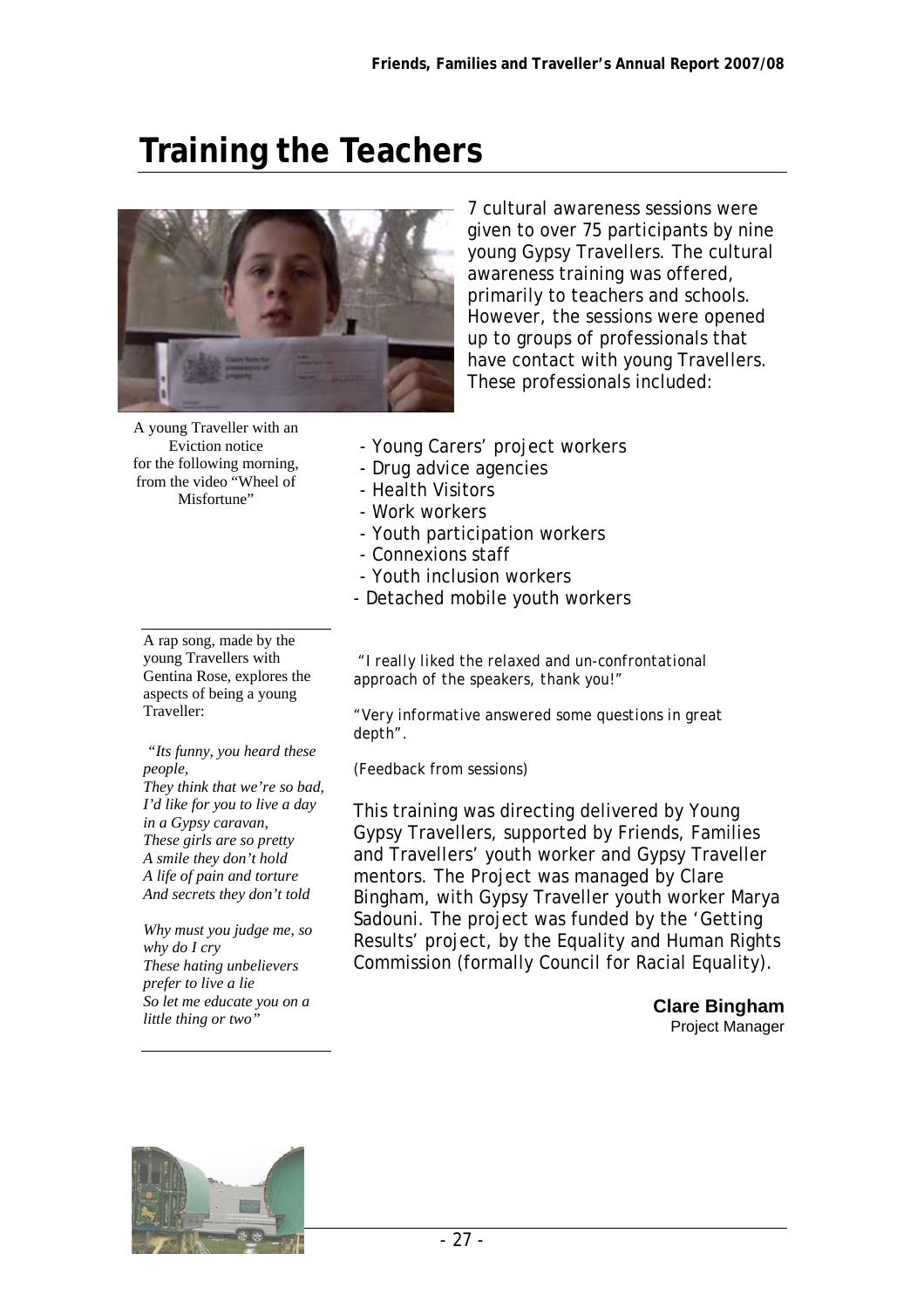# **Training the Teachers**



7 cultural awareness sessions were given to over 75 participants by nine young Gypsy Travellers. The cultural awareness training was offered, primarily to teachers and schools. However, the sessions were opened up to groups of professionals that have contact with young Travellers. These professionals included:

A young Traveller with an Eviction notice for the following morning, from the video "Wheel of Misfortune"

A rap song, made by the young Travellers with Gentina Rose, explores the aspects of being a young Traveller:

 *"Its funny, you heard these people, They think that we're so bad, I'd like for you to live a day in a Gypsy caravan, These girls are so pretty A smile they don't hold A life of pain and torture And secrets they don't told* 

*Why must you judge me, so why do I cry These hating unbelievers prefer to live a lie So let me educate you on a little thing or two"* 

- Young Carers' project workers
- Drug advice agencies
- Health Visitors
- Work workers
- Youth participation workers
- Connexions staff
- Youth inclusion workers
- Detached mobile youth workers

*"I really liked the relaxed and un-confrontational approach of the speakers, thank you!"* 

*"Very informative answered some questions in great depth".* 

(Feedback from sessions)

This training was directing delivered by Young Gypsy Travellers, supported by Friends, Families and Travellers' youth worker and Gypsy Traveller mentors. The Project was managed by Clare Bingham, with Gypsy Traveller youth worker Marya Sadouni. The project was funded by the 'Getting Results' project, by the Equality and Human Rights Commission (formally Council for Racial Equality).

> **Clare Bingham**  Project Manager

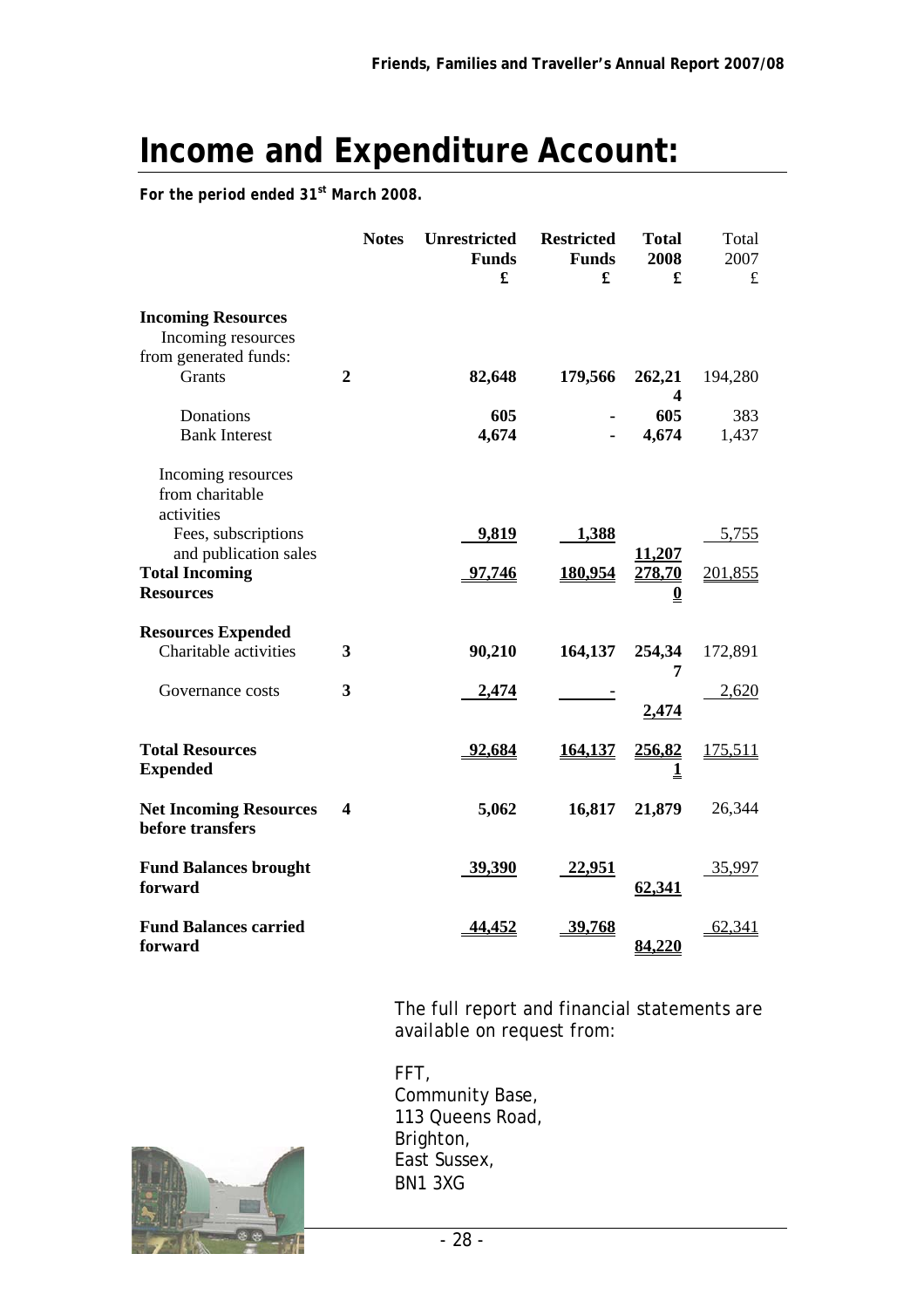#### **Income and Expenditure Account:**

*For the period ended 31st March 2008.* 

|                                                                          | <b>Notes</b>            | <b>Unrestricted</b><br><b>Funds</b><br>£ | <b>Restricted</b><br><b>Funds</b><br>£ | <b>Total</b><br>2008<br>£         | Total<br>2007<br>$\mathbf f$ |
|--------------------------------------------------------------------------|-------------------------|------------------------------------------|----------------------------------------|-----------------------------------|------------------------------|
| <b>Incoming Resources</b><br>Incoming resources<br>from generated funds: |                         |                                          |                                        |                                   |                              |
| Grants                                                                   | $\boldsymbol{2}$        | 82,648                                   | 179,566                                | 262,21<br>4                       | 194,280                      |
| Donations<br><b>Bank Interest</b>                                        |                         | 605<br>4,674                             |                                        | 605<br>4,674                      | 383<br>1,437                 |
| Incoming resources<br>from charitable<br>activities                      |                         |                                          |                                        |                                   |                              |
| Fees, subscriptions<br>and publication sales                             |                         | 9,819                                    | 1,388                                  | 11,207                            | 5,755                        |
| <b>Total Incoming</b><br><b>Resources</b>                                |                         | 97,746                                   | 180,954                                | 278,70<br>$\overline{\mathbf{0}}$ | 201,855                      |
| <b>Resources Expended</b>                                                |                         |                                          |                                        |                                   |                              |
| Charitable activities                                                    | 3                       | 90,210                                   | 164,137                                | 254,34<br>7                       | 172,891                      |
| Governance costs                                                         | 3                       | 2,474                                    |                                        | 2,474                             | 2,620                        |
| <b>Total Resources</b><br><b>Expended</b>                                |                         | 92,684                                   | 164,137                                | 256,82<br>$\mathbf 1$             | 175,511                      |
| <b>Net Incoming Resources</b><br>before transfers                        | $\overline{\mathbf{4}}$ | 5,062                                    | 16,817                                 | 21,879                            | 26,344                       |
| <b>Fund Balances brought</b><br>forward                                  |                         | 39,390                                   | 22,951                                 | 62,341                            | 35,997                       |
| <b>Fund Balances carried</b><br>forward                                  |                         | <u>44,452</u>                            | 39,768                                 | 84,220                            | 62,341                       |



The full report and financial statements are available on request from:

FFT, Community Base, 113 Queens Road, Brighton, East Sussex, BN1 3XG